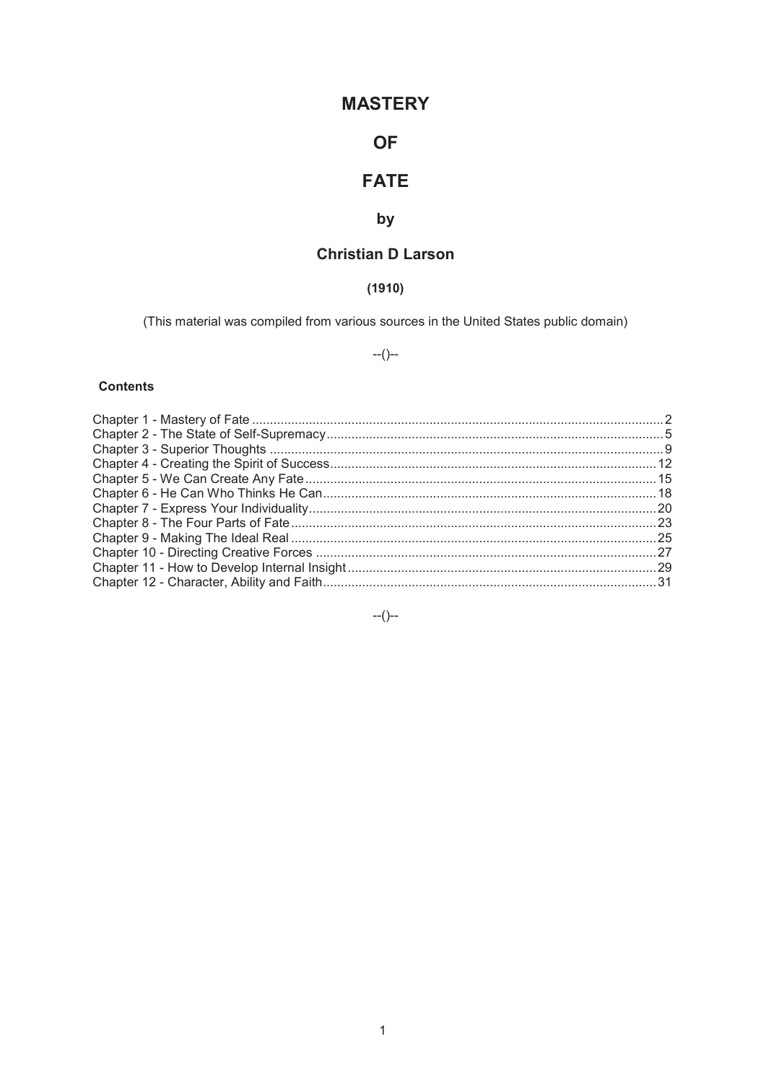# **MASTERY**

# **OF**

# **FATE**

# by

# **Christian D Larson**

## $(1910)$

(This material was compiled from various sources in the United States public domain)

### $-(-)$

#### **Contents**

 $-(-)$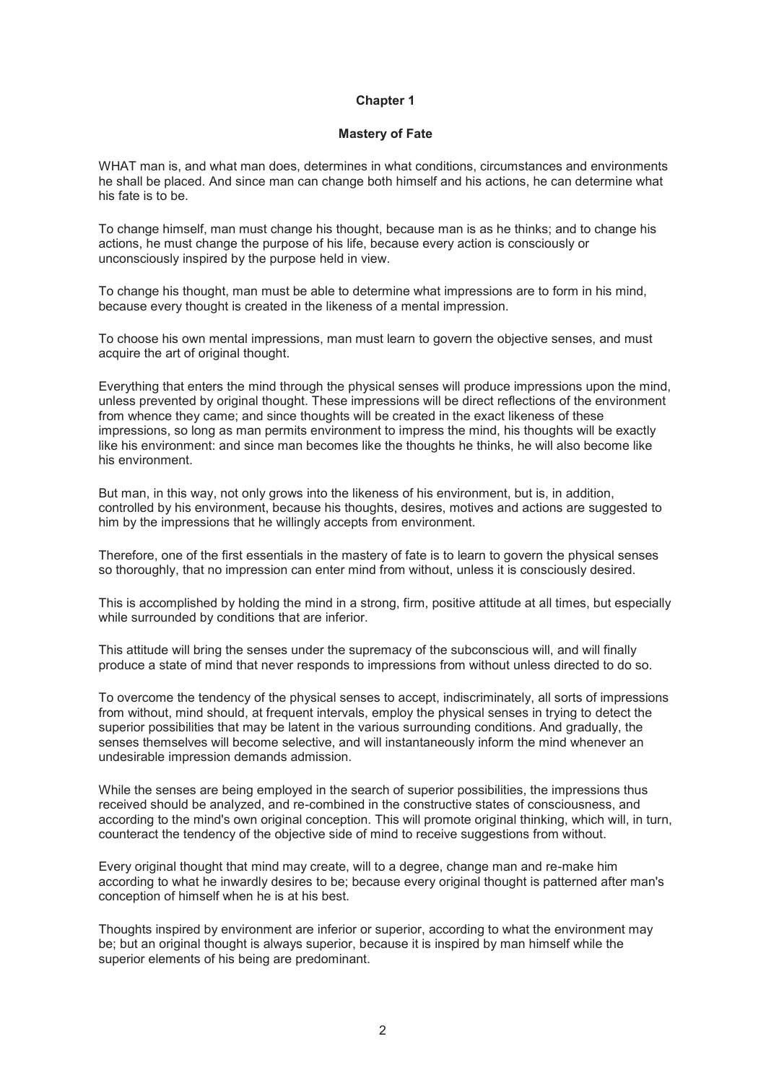#### **Mastery of Fate**

WHAT man is, and what man does, determines in what conditions, circumstances and environments he shall be placed. And since man can change both himself and his actions, he can determine what his fate is to be.

To change himself, man must change his thought, because man is as he thinks; and to change his actions, he must change the purpose of his life, because every action is consciously or unconsciously inspired by the purpose held in view.

To change his thought, man must be able to determine what impressions are to form in his mind, because every thought is created in the likeness of a mental impression.

To choose his own mental impressions, man must learn to govern the objective senses, and must acquire the art of original thought.

Everything that enters the mind through the physical senses will produce impressions upon the mind, unless prevented by original thought. These impressions will be direct reflections of the environment from whence they came; and since thoughts will be created in the exact likeness of these impressions, so long as man permits environment to impress the mind, his thoughts will be exactly like his environment: and since man becomes like the thoughts he thinks, he will also become like his environment.

But man, in this way, not only grows into the likeness of his environment, but is, in addition, controlled by his environment, because his thoughts, desires, motives and actions are suggested to him by the impressions that he willingly accepts from environment.

Therefore, one of the first essentials in the mastery of fate is to learn to govern the physical senses so thoroughly, that no impression can enter mind from without, unless it is consciously desired.

This is accomplished by holding the mind in a strong, firm, positive attitude at all times, but especially while surrounded by conditions that are inferior.

This attitude will bring the senses under the supremacy of the subconscious will, and will finally produce a state of mind that never responds to impressions from without unless directed to do so.

To overcome the tendency of the physical senses to accept, indiscriminately, all sorts of impressions from without, mind should, at frequent intervals, employ the physical senses in trying to detect the superior possibilities that may be latent in the various surrounding conditions. And gradually, the senses themselves will become selective, and will instantaneously inform the mind whenever an undesirable impression demands admission.

While the senses are being employed in the search of superior possibilities, the impressions thus received should be analyzed, and re-combined in the constructive states of consciousness, and according to the mind's own original conception. This will promote original thinking, which will, in turn, counteract the tendency of the objective side of mind to receive suggestions from without.

Every original thought that mind may create, will to a degree, change man and re-make him according to what he inwardly desires to be; because every original thought is patterned after man's conception of himself when he is at his best.

Thoughts inspired by environment are inferior or superior, according to what the environment may be; but an original thought is always superior, because it is inspired by man himself while the superior elements of his being are predominant.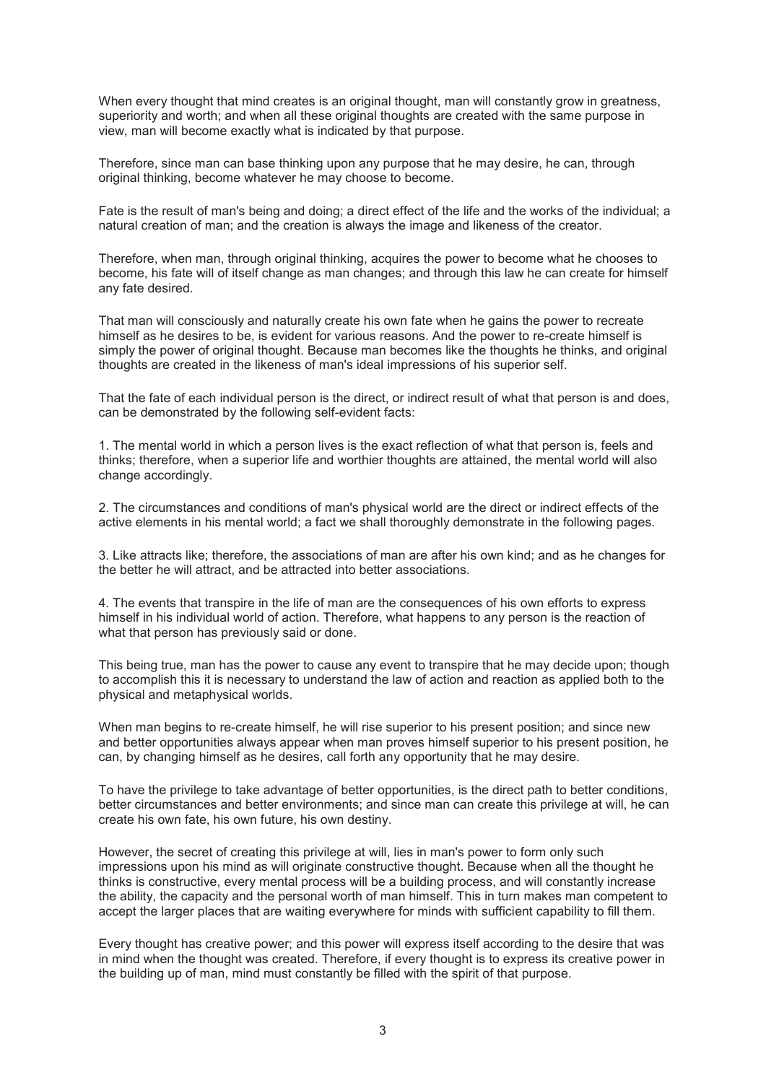When every thought that mind creates is an original thought, man will constantly grow in greatness, superiority and worth; and when all these original thoughts are created with the same purpose in view, man will become exactly what is indicated by that purpose.

Therefore, since man can base thinking upon any purpose that he may desire, he can, through original thinking, become whatever he may choose to become.

Fate is the result of man's being and doing; a direct effect of the life and the works of the individual; a natural creation of man; and the creation is always the image and likeness of the creator.

Therefore, when man, through original thinking, acquires the power to become what he chooses to become, his fate will of itself change as man changes; and through this law he can create for himself any fate desired.

That man will consciously and naturally create his own fate when he gains the power to recreate himself as he desires to be, is evident for various reasons. And the power to re-create himself is simply the power of original thought. Because man becomes like the thoughts he thinks, and original thoughts are created in the likeness of man's ideal impressions of his superior self.

That the fate of each individual person is the direct, or indirect result of what that person is and does, can be demonstrated by the following self-evident facts:

1. The mental world in which a person lives is the exact reflection of what that person is, feels and thinks; therefore, when a superior life and worthier thoughts are attained, the mental world will also change accordingly.

2. The circumstances and conditions of man's physical world are the direct or indirect effects of the active elements in his mental world; a fact we shall thoroughly demonstrate in the following pages.

3. Like attracts like; therefore, the associations of man are after his own kind; and as he changes for the better he will attract, and be attracted into better associations.

4. The events that transpire in the life of man are the consequences of his own efforts to express himself in his individual world of action. Therefore, what happens to any person is the reaction of what that person has previously said or done.

This being true, man has the power to cause any event to transpire that he may decide upon; though to accomplish this it is necessary to understand the law of action and reaction as applied both to the physical and metaphysical worlds.

When man begins to re-create himself, he will rise superior to his present position; and since new and better opportunities always appear when man proves himself superior to his present position, he can, by changing himself as he desires, call forth any opportunity that he may desire.

To have the privilege to take advantage of better opportunities, is the direct path to better conditions, better circumstances and better environments; and since man can create this privilege at will, he can create his own fate, his own future, his own destiny.

However, the secret of creating this privilege at will, lies in man's power to form only such impressions upon his mind as will originate constructive thought. Because when all the thought he thinks is constructive, every mental process will be a building process, and will constantly increase the ability, the capacity and the personal worth of man himself. This in turn makes man competent to accept the larger places that are waiting everywhere for minds with sufficient capability to fill them.

Every thought has creative power; and this power will express itself according to the desire that was in mind when the thought was created. Therefore, if every thought is to express its creative power in the building up of man, mind must constantly be filled with the spirit of that purpose.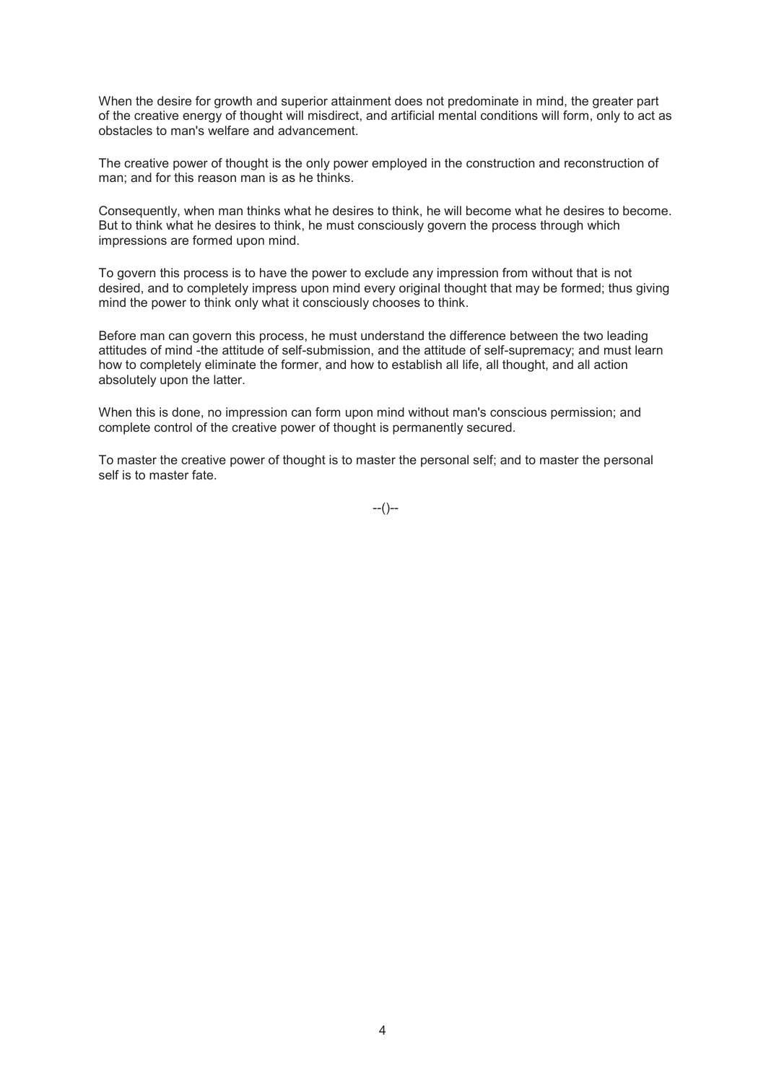When the desire for growth and superior attainment does not predominate in mind, the greater part of the creative energy of thought will misdirect, and artificial mental conditions will form, only to act as obstacles to man's welfare and advancement.

The creative power of thought is the only power employed in the construction and reconstruction of man; and for this reason man is as he thinks.

Consequently, when man thinks what he desires to think, he will become what he desires to become. But to think what he desires to think, he must consciously govern the process through which impressions are formed upon mind.

To govern this process is to have the power to exclude any impression from without that is not desired, and to completely impress upon mind every original thought that may be formed; thus giving mind the power to think only what it consciously chooses to think.

Before man can govern this process, he must understand the difference between the two leading attitudes of mind -the attitude of self-submission, and the attitude of self-supremacy; and must learn how to completely eliminate the former, and how to establish all life, all thought, and all action absolutely upon the latter.

When this is done, no impression can form upon mind without man's conscious permission; and complete control of the creative power of thought is permanently secured.

To master the creative power of thought is to master the personal self; and to master the personal self is to master fate.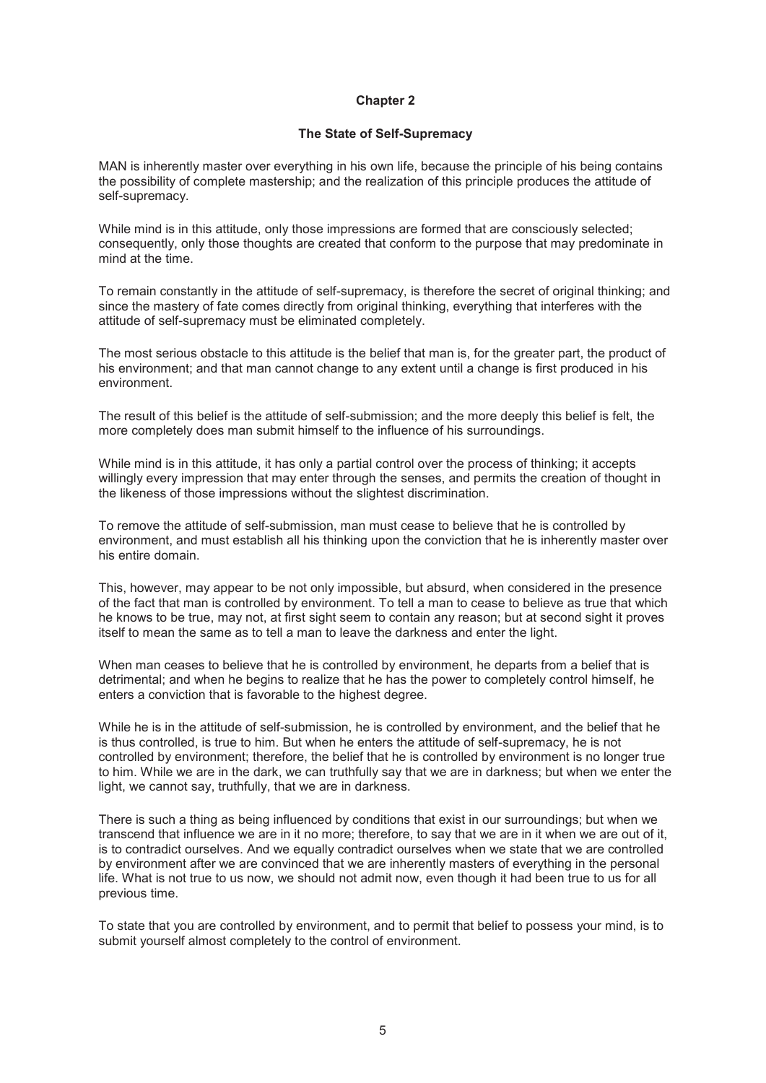#### **The State of Self-Supremacy**

MAN is inherently master over everything in his own life, because the principle of his being contains the possibility of complete mastership; and the realization of this principle produces the attitude of self-supremacy.

While mind is in this attitude, only those impressions are formed that are consciously selected; consequently, only those thoughts are created that conform to the purpose that may predominate in mind at the time.

To remain constantly in the attitude of self-supremacy, is therefore the secret of original thinking; and since the mastery of fate comes directly from original thinking, everything that interferes with the attitude of self-supremacy must be eliminated completely.

The most serious obstacle to this attitude is the belief that man is, for the greater part, the product of his environment; and that man cannot change to any extent until a change is first produced in his environment.

The result of this belief is the attitude of self-submission; and the more deeply this belief is felt, the more completely does man submit himself to the influence of his surroundings.

While mind is in this attitude, it has only a partial control over the process of thinking; it accepts willingly every impression that may enter through the senses, and permits the creation of thought in the likeness of those impressions without the slightest discrimination.

To remove the attitude of self-submission, man must cease to believe that he is controlled by environment, and must establish all his thinking upon the conviction that he is inherently master over his entire domain.

This, however, may appear to be not only impossible, but absurd, when considered in the presence of the fact that man is controlled by environment. To tell a man to cease to believe as true that which he knows to be true, may not, at first sight seem to contain any reason; but at second sight it proves itself to mean the same as to tell a man to leave the darkness and enter the light.

When man ceases to believe that he is controlled by environment, he departs from a belief that is detrimental; and when he begins to realize that he has the power to completely control himself, he enters a conviction that is favorable to the highest degree.

While he is in the attitude of self-submission, he is controlled by environment, and the belief that he is thus controlled, is true to him. But when he enters the attitude of self-supremacy, he is not controlled by environment; therefore, the belief that he is controlled by environment is no longer true to him. While we are in the dark, we can truthfully say that we are in darkness; but when we enter the light, we cannot say, truthfully, that we are in darkness.

There is such a thing as being influenced by conditions that exist in our surroundings; but when we transcend that influence we are in it no more; therefore, to say that we are in it when we are out of it, is to contradict ourselves. And we equally contradict ourselves when we state that we are controlled by environment after we are convinced that we are inherently masters of everything in the personal life. What is not true to us now, we should not admit now, even though it had been true to us for all previous time.

To state that you are controlled by environment, and to permit that belief to possess your mind, is to submit yourself almost completely to the control of environment.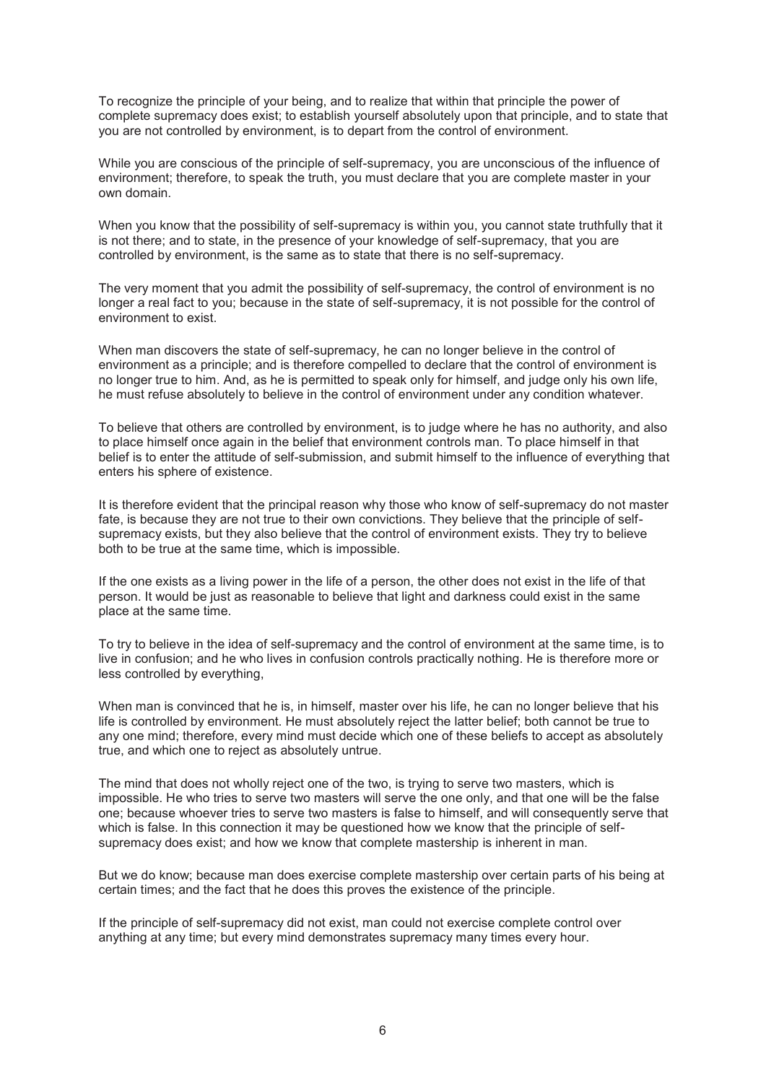To recognize the principle of your being, and to realize that within that principle the power of complete supremacy does exist; to establish yourself absolutely upon that principle, and to state that you are not controlled by environment, is to depart from the control of environment.

While you are conscious of the principle of self-supremacy, you are unconscious of the influence of environment; therefore, to speak the truth, you must declare that you are complete master in your own domain.

When you know that the possibility of self-supremacy is within you, you cannot state truthfully that it is not there; and to state, in the presence of your knowledge of self-supremacy, that you are controlled by environment, is the same as to state that there is no self-supremacy.

The very moment that you admit the possibility of self-supremacy, the control of environment is no longer a real fact to you; because in the state of self-supremacy, it is not possible for the control of environment to exist.

When man discovers the state of self-supremacy, he can no longer believe in the control of environment as a principle; and is therefore compelled to declare that the control of environment is no longer true to him. And, as he is permitted to speak only for himself, and judge only his own life, he must refuse absolutely to believe in the control of environment under any condition whatever.

To believe that others are controlled by environment, is to judge where he has no authority, and also to place himself once again in the belief that environment controls man. To place himself in that belief is to enter the attitude of self-submission, and submit himself to the influence of everything that enters his sphere of existence.

It is therefore evident that the principal reason why those who know of self-supremacy do not master fate, is because they are not true to their own convictions. They believe that the principle of selfsupremacy exists, but they also believe that the control of environment exists. They try to believe both to be true at the same time, which is impossible.

If the one exists as a living power in the life of a person, the other does not exist in the life of that person. It would be just as reasonable to believe that light and darkness could exist in the same place at the same time.

To try to believe in the idea of self-supremacy and the control of environment at the same time, is to live in confusion; and he who lives in confusion controls practically nothing. He is therefore more or less controlled by everything,

When man is convinced that he is, in himself, master over his life, he can no longer believe that his life is controlled by environment. He must absolutely reject the latter belief; both cannot be true to any one mind; therefore, every mind must decide which one of these beliefs to accept as absolutely true, and which one to reject as absolutely untrue.

The mind that does not wholly reject one of the two, is trying to serve two masters, which is impossible. He who tries to serve two masters will serve the one only, and that one will be the false one; because whoever tries to serve two masters is false to himself, and will consequently serve that which is false. In this connection it may be questioned how we know that the principle of selfsupremacy does exist; and how we know that complete mastership is inherent in man.

But we do know; because man does exercise complete mastership over certain parts of his being at certain times; and the fact that he does this proves the existence of the principle.

If the principle of self-supremacy did not exist, man could not exercise complete control over anything at any time; but every mind demonstrates supremacy many times every hour.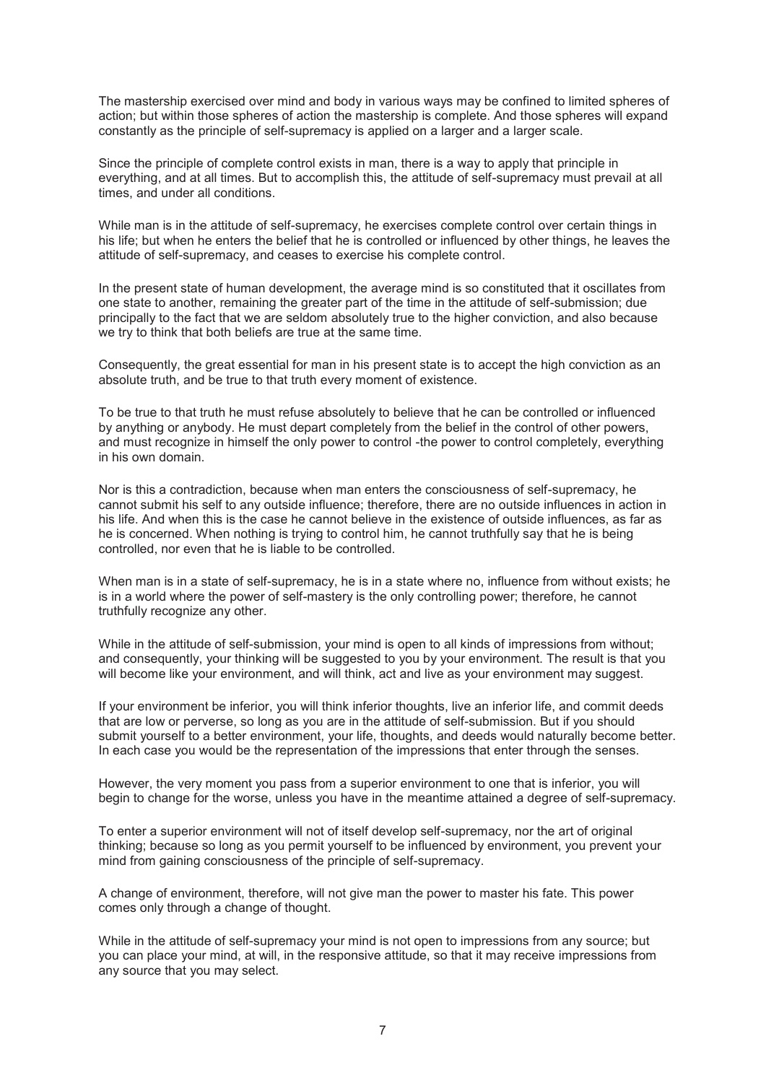The mastership exercised over mind and body in various ways may be confined to limited spheres of action; but within those spheres of action the mastership is complete. And those spheres will expand constantly as the principle of self-supremacy is applied on a larger and a larger scale.

Since the principle of complete control exists in man, there is a way to apply that principle in everything, and at all times. But to accomplish this, the attitude of self-supremacy must prevail at all times, and under all conditions.

While man is in the attitude of self-supremacy, he exercises complete control over certain things in his life; but when he enters the belief that he is controlled or influenced by other things, he leaves the attitude of self-supremacy, and ceases to exercise his complete control.

In the present state of human development, the average mind is so constituted that it oscillates from one state to another, remaining the greater part of the time in the attitude of self-submission; due principally to the fact that we are seldom absolutely true to the higher conviction, and also because we try to think that both beliefs are true at the same time.

Consequently, the great essential for man in his present state is to accept the high conviction as an absolute truth, and be true to that truth every moment of existence.

To be true to that truth he must refuse absolutely to believe that he can be controlled or influenced by anything or anybody. He must depart completely from the belief in the control of other powers, and must recognize in himself the only power to control -the power to control completely, everything in his own domain.

Nor is this a contradiction, because when man enters the consciousness of self-supremacy, he cannot submit his self to any outside influence; therefore, there are no outside influences in action in his life. And when this is the case he cannot believe in the existence of outside influences, as far as he is concerned. When nothing is trying to control him, he cannot truthfully say that he is being controlled, nor even that he is liable to be controlled.

When man is in a state of self-supremacy, he is in a state where no, influence from without exists; he is in a world where the power of self-mastery is the only controlling power; therefore, he cannot truthfully recognize any other.

While in the attitude of self-submission, your mind is open to all kinds of impressions from without; and consequently, your thinking will be suggested to you by your environment. The result is that you will become like your environment, and will think, act and live as your environment may suggest.

If your environment be inferior, you will think inferior thoughts, live an inferior life, and commit deeds that are low or perverse, so long as you are in the attitude of self-submission. But if you should submit yourself to a better environment, your life, thoughts, and deeds would naturally become better. In each case you would be the representation of the impressions that enter through the senses.

However, the very moment you pass from a superior environment to one that is inferior, you will begin to change for the worse, unless you have in the meantime attained a degree of self-supremacy.

To enter a superior environment will not of itself develop self-supremacy, nor the art of original thinking; because so long as you permit yourself to be influenced by environment, you prevent your mind from gaining consciousness of the principle of self-supremacy.

A change of environment, therefore, will not give man the power to master his fate. This power comes only through a change of thought.

While in the attitude of self-supremacy your mind is not open to impressions from any source; but you can place your mind, at will, in the responsive attitude, so that it may receive impressions from any source that you may select.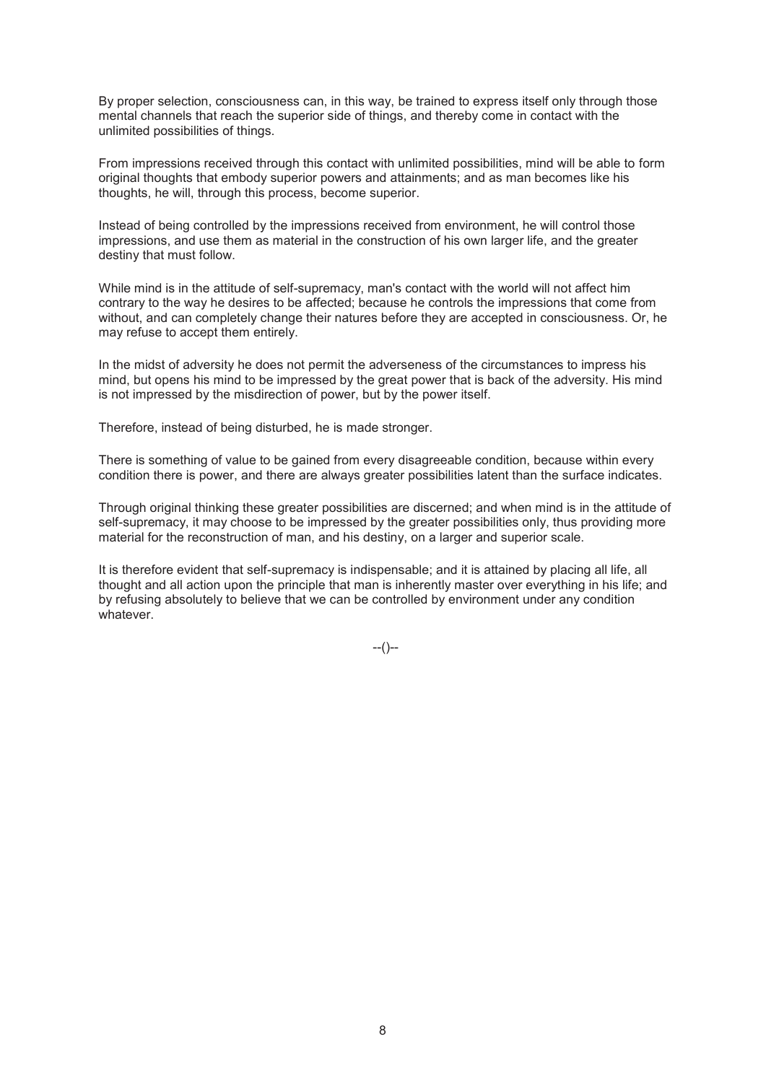By proper selection, consciousness can, in this way, be trained to express itself only through those mental channels that reach the superior side of things, and thereby come in contact with the unlimited possibilities of things.

From impressions received through this contact with unlimited possibilities, mind will be able to form original thoughts that embody superior powers and attainments; and as man becomes like his thoughts, he will, through this process, become superior.

Instead of being controlled by the impressions received from environment, he will control those impressions, and use them as material in the construction of his own larger life, and the greater destiny that must follow.

While mind is in the attitude of self-supremacy, man's contact with the world will not affect him contrary to the way he desires to be affected; because he controls the impressions that come from without, and can completely change their natures before they are accepted in consciousness. Or, he may refuse to accept them entirely.

In the midst of adversity he does not permit the adverseness of the circumstances to impress his mind, but opens his mind to be impressed by the great power that is back of the adversity. His mind is not impressed by the misdirection of power, but by the power itself.

Therefore, instead of being disturbed, he is made stronger.

There is something of value to be gained from every disagreeable condition, because within every condition there is power, and there are always greater possibilities latent than the surface indicates.

Through original thinking these greater possibilities are discerned; and when mind is in the attitude of self-supremacy, it may choose to be impressed by the greater possibilities only, thus providing more material for the reconstruction of man, and his destiny, on a larger and superior scale.

It is therefore evident that self-supremacy is indispensable; and it is attained by placing all life, all thought and all action upon the principle that man is inherently master over everything in his life; and by refusing absolutely to believe that we can be controlled by environment under any condition whatever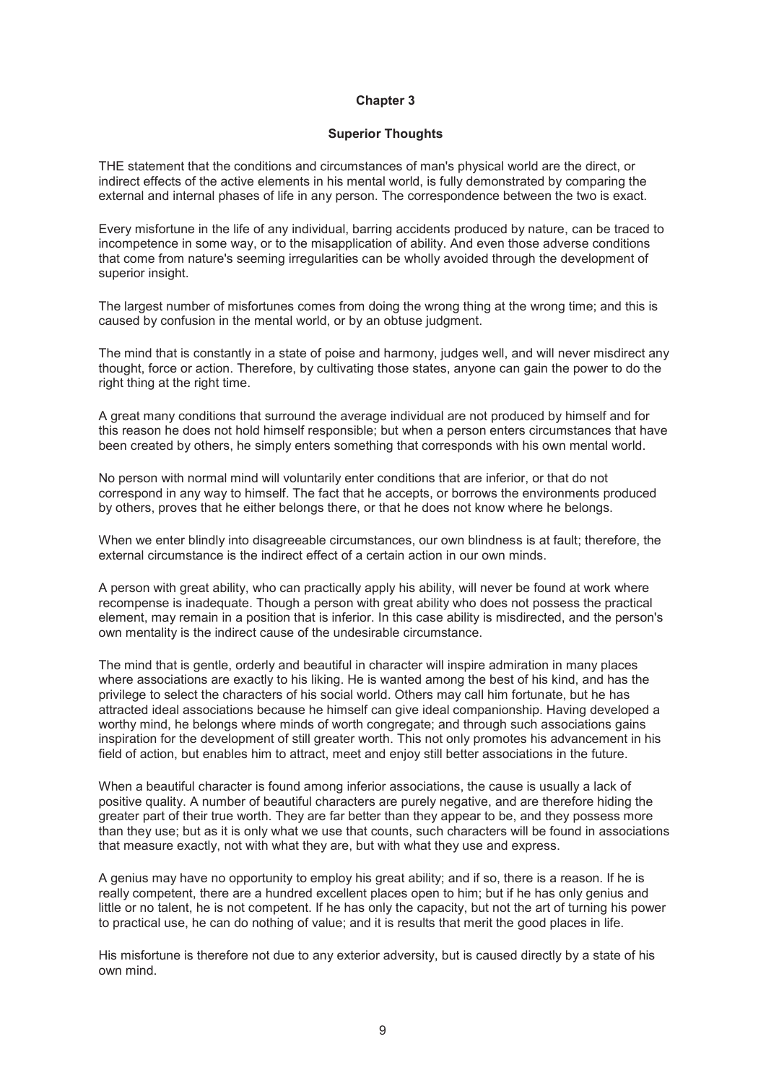#### **Superior Thoughts**

THE statement that the conditions and circumstances of man's physical world are the direct, or indirect effects of the active elements in his mental world, is fully demonstrated by comparing the external and internal phases of life in any person. The correspondence between the two is exact.

Every misfortune in the life of any individual, barring accidents produced by nature, can be traced to incompetence in some way, or to the misapplication of ability. And even those adverse conditions that come from nature's seeming irregularities can be wholly avoided through the development of superior insight.

The largest number of misfortunes comes from doing the wrong thing at the wrong time; and this is caused by confusion in the mental world, or by an obtuse judgment.

The mind that is constantly in a state of poise and harmony, judges well, and will never misdirect any thought, force or action. Therefore, by cultivating those states, anyone can gain the power to do the right thing at the right time.

A great many conditions that surround the average individual are not produced by himself and for this reason he does not hold himself responsible; but when a person enters circumstances that have been created by others, he simply enters something that corresponds with his own mental world.

No person with normal mind will voluntarily enter conditions that are inferior, or that do not correspond in any way to himself. The fact that he accepts, or borrows the environments produced by others, proves that he either belongs there, or that he does not know where he belongs.

When we enter blindly into disagreeable circumstances, our own blindness is at fault; therefore, the external circumstance is the indirect effect of a certain action in our own minds.

A person with great ability, who can practically apply his ability, will never be found at work where recompense is inadequate. Though a person with great ability who does not possess the practical element, may remain in a position that is inferior. In this case ability is misdirected, and the person's own mentality is the indirect cause of the undesirable circumstance.

The mind that is gentle, orderly and beautiful in character will inspire admiration in many places where associations are exactly to his liking. He is wanted among the best of his kind, and has the privilege to select the characters of his social world. Others may call him fortunate, but he has attracted ideal associations because he himself can give ideal companionship. Having developed a worthy mind, he belongs where minds of worth congregate; and through such associations gains inspiration for the development of still greater worth. This not only promotes his advancement in his field of action, but enables him to attract, meet and enjoy still better associations in the future.

When a beautiful character is found among inferior associations, the cause is usually a lack of positive quality. A number of beautiful characters are purely negative, and are therefore hiding the greater part of their true worth. They are far better than they appear to be, and they possess more than they use; but as it is only what we use that counts, such characters will be found in associations that measure exactly, not with what they are, but with what they use and express.

A genius may have no opportunity to employ his great ability; and if so, there is a reason. If he is really competent, there are a hundred excellent places open to him; but if he has only genius and little or no talent, he is not competent. If he has only the capacity, but not the art of turning his power to practical use, he can do nothing of value; and it is results that merit the good places in life.

His misfortune is therefore not due to any exterior adversity, but is caused directly by a state of his own mind.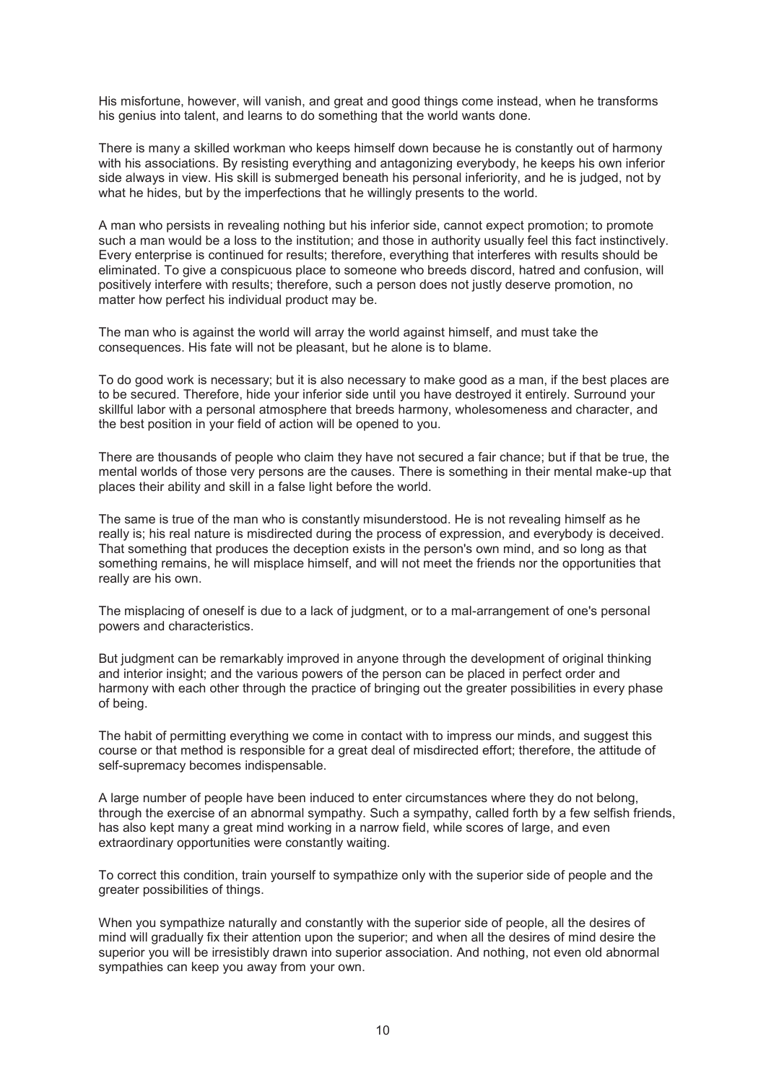His misfortune, however, will vanish, and great and good things come instead, when he transforms his genius into talent, and learns to do something that the world wants done.

There is many a skilled workman who keeps himself down because he is constantly out of harmony with his associations. By resisting everything and antagonizing everybody, he keeps his own inferior side always in view. His skill is submerged beneath his personal inferiority, and he is judged, not by what he hides, but by the imperfections that he willingly presents to the world.

A man who persists in revealing nothing but his inferior side, cannot expect promotion; to promote such a man would be a loss to the institution; and those in authority usually feel this fact instinctively. Every enterprise is continued for results; therefore, everything that interferes with results should be eliminated. To give a conspicuous place to someone who breeds discord, hatred and confusion, will positively interfere with results; therefore, such a person does not justly deserve promotion, no matter how perfect his individual product may be.

The man who is against the world will array the world against himself, and must take the consequences. His fate will not be pleasant, but he alone is to blame.

To do good work is necessary; but it is also necessary to make good as a man, if the best places are to be secured. Therefore, hide your inferior side until you have destroyed it entirely. Surround your skillful labor with a personal atmosphere that breeds harmony, wholesomeness and character, and the best position in your field of action will be opened to you.

There are thousands of people who claim they have not secured a fair chance; but if that be true, the mental worlds of those very persons are the causes. There is something in their mental make-up that places their ability and skill in a false light before the world.

The same is true of the man who is constantly misunderstood. He is not revealing himself as he really is; his real nature is misdirected during the process of expression, and everybody is deceived. That something that produces the deception exists in the person's own mind, and so long as that something remains, he will misplace himself, and will not meet the friends nor the opportunities that really are his own.

The misplacing of oneself is due to a lack of judgment, or to a mal-arrangement of one's personal powers and characteristics.

But judgment can be remarkably improved in anyone through the development of original thinking and interior insight; and the various powers of the person can be placed in perfect order and harmony with each other through the practice of bringing out the greater possibilities in every phase of being.

The habit of permitting everything we come in contact with to impress our minds, and suggest this course or that method is responsible for a great deal of misdirected effort; therefore, the attitude of self-supremacy becomes indispensable.

A large number of people have been induced to enter circumstances where they do not belong, through the exercise of an abnormal sympathy. Such a sympathy, called forth by a few selfish friends, has also kept many a great mind working in a narrow field, while scores of large, and even extraordinary opportunities were constantly waiting.

To correct this condition, train yourself to sympathize only with the superior side of people and the greater possibilities of things.

When you sympathize naturally and constantly with the superior side of people, all the desires of mind will gradually fix their attention upon the superior; and when all the desires of mind desire the superior you will be irresistibly drawn into superior association. And nothing, not even old abnormal sympathies can keep you away from your own.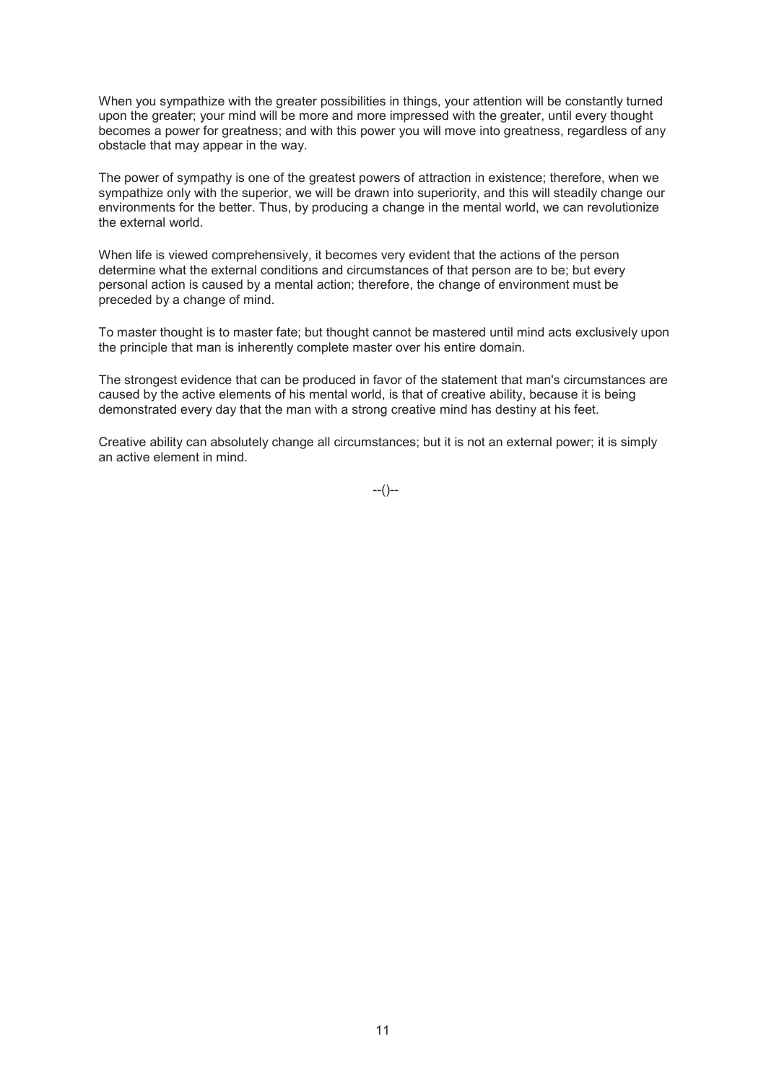When you sympathize with the greater possibilities in things, your attention will be constantly turned upon the greater; your mind will be more and more impressed with the greater, until every thought becomes a power for greatness; and with this power you will move into greatness, regardless of any obstacle that may appear in the way.

The power of sympathy is one of the greatest powers of attraction in existence; therefore, when we sympathize only with the superior, we will be drawn into superiority, and this will steadily change our environments for the better. Thus, by producing a change in the mental world, we can revolutionize the external world.

When life is viewed comprehensively, it becomes very evident that the actions of the person determine what the external conditions and circumstances of that person are to be; but every personal action is caused by a mental action; therefore, the change of environment must be preceded by a change of mind.

To master thought is to master fate; but thought cannot be mastered until mind acts exclusively upon the principle that man is inherently complete master over his entire domain.

The strongest evidence that can be produced in favor of the statement that man's circumstances are caused by the active elements of his mental world, is that of creative ability, because it is being demonstrated every day that the man with a strong creative mind has destiny at his feet.

Creative ability can absolutely change all circumstances; but it is not an external power; it is simply an active element in mind.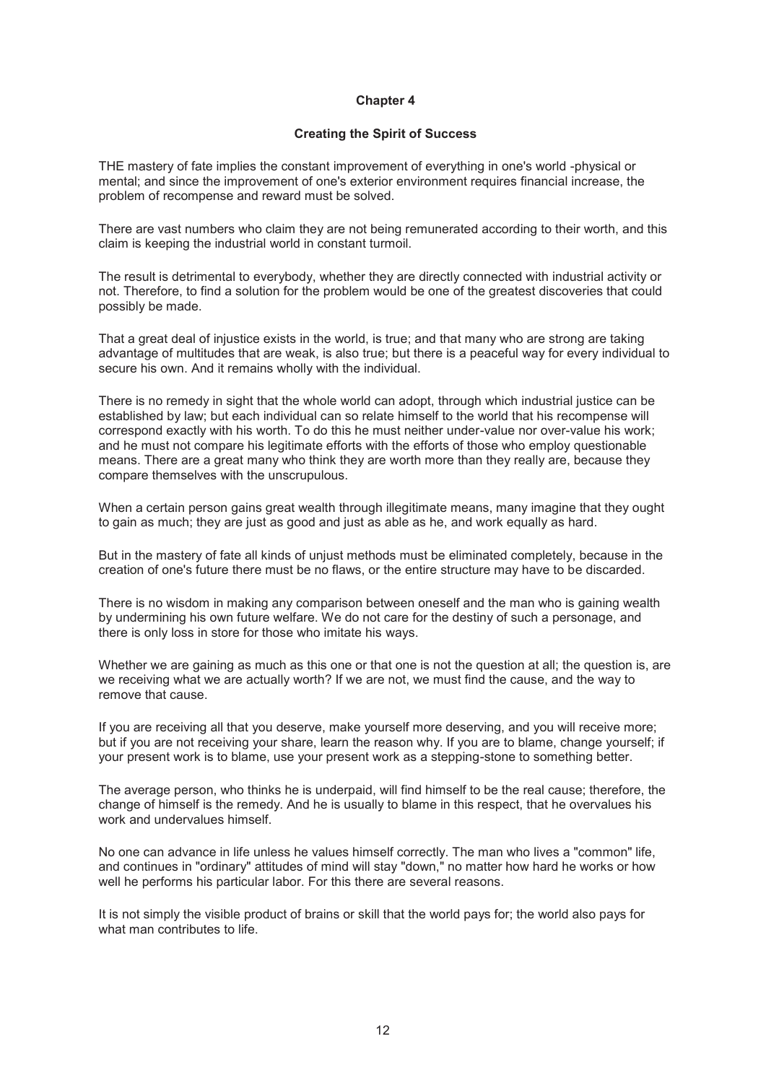#### **Creating the Spirit of Success**

THE mastery of fate implies the constant improvement of everything in one's world -physical or mental; and since the improvement of one's exterior environment requires financial increase, the problem of recompense and reward must be solved.

There are vast numbers who claim they are not being remunerated according to their worth, and this claim is keeping the industrial world in constant turmoil.

The result is detrimental to everybody, whether they are directly connected with industrial activity or not. Therefore, to find a solution for the problem would be one of the greatest discoveries that could possibly be made.

That a great deal of injustice exists in the world, is true; and that many who are strong are taking advantage of multitudes that are weak, is also true; but there is a peaceful way for every individual to secure his own. And it remains wholly with the individual.

There is no remedy in sight that the whole world can adopt, through which industrial justice can be established by law; but each individual can so relate himself to the world that his recompense will correspond exactly with his worth. To do this he must neither under-value nor over-value his work; and he must not compare his legitimate efforts with the efforts of those who employ questionable means. There are a great many who think they are worth more than they really are, because they compare themselves with the unscrupulous.

When a certain person gains great wealth through illegitimate means, many imagine that they ought to gain as much; they are just as good and just as able as he, and work equally as hard.

But in the mastery of fate all kinds of unjust methods must be eliminated completely, because in the creation of one's future there must be no flaws, or the entire structure may have to be discarded.

There is no wisdom in making any comparison between oneself and the man who is gaining wealth by undermining his own future welfare. We do not care for the destiny of such a personage, and there is only loss in store for those who imitate his ways.

Whether we are gaining as much as this one or that one is not the question at all; the question is, are we receiving what we are actually worth? If we are not, we must find the cause, and the way to remove that cause.

If you are receiving all that you deserve, make yourself more deserving, and you will receive more; but if you are not receiving your share, learn the reason why. If you are to blame, change yourself; if your present work is to blame, use your present work as a stepping-stone to something better.

The average person, who thinks he is underpaid, will find himself to be the real cause; therefore, the change of himself is the remedy. And he is usually to blame in this respect, that he overvalues his work and undervalues himself.

No one can advance in life unless he values himself correctly. The man who lives a "common" life, and continues in "ordinary" attitudes of mind will stay "down," no matter how hard he works or how well he performs his particular labor. For this there are several reasons.

It is not simply the visible product of brains or skill that the world pays for; the world also pays for what man contributes to life.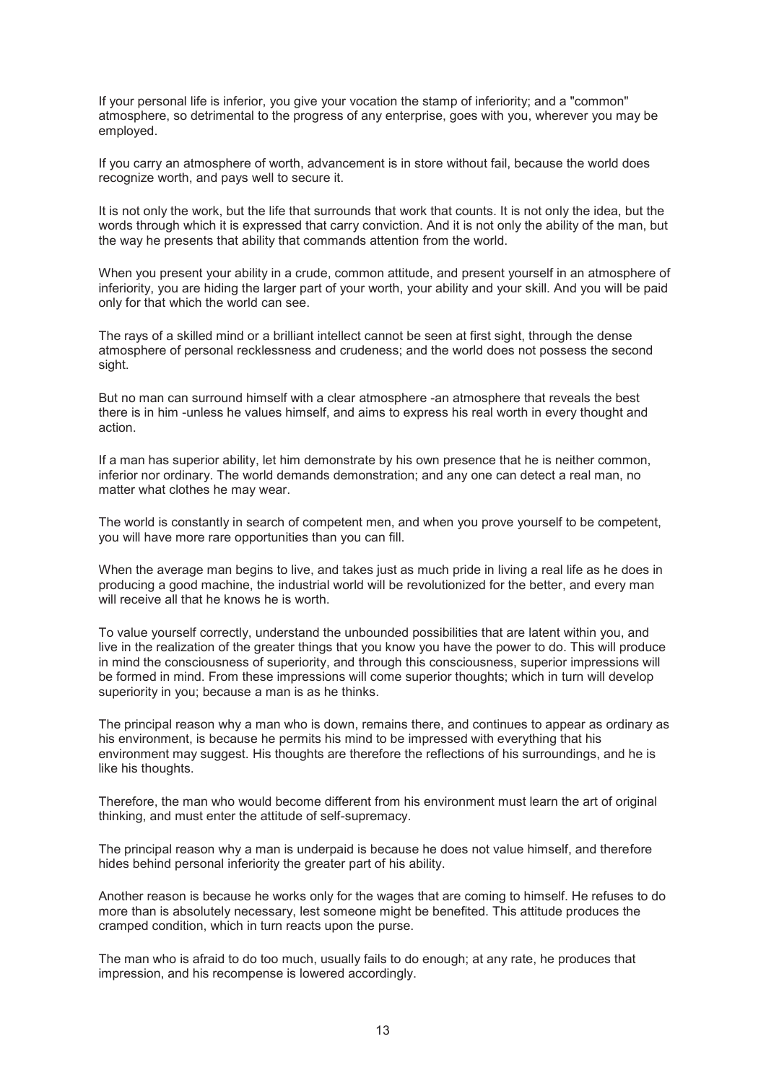If your personal life is inferior, you give your vocation the stamp of inferiority; and a "common" atmosphere, so detrimental to the progress of any enterprise, goes with you, wherever you may be employed.

If you carry an atmosphere of worth, advancement is in store without fail, because the world does recognize worth, and pays well to secure it.

It is not only the work, but the life that surrounds that work that counts. It is not only the idea, but the words through which it is expressed that carry conviction. And it is not only the ability of the man, but the way he presents that ability that commands attention from the world.

When you present your ability in a crude, common attitude, and present yourself in an atmosphere of inferiority, you are hiding the larger part of your worth, your ability and your skill. And you will be paid only for that which the world can see.

The rays of a skilled mind or a brilliant intellect cannot be seen at first sight, through the dense atmosphere of personal recklessness and crudeness; and the world does not possess the second sight.

But no man can surround himself with a clear atmosphere -an atmosphere that reveals the best there is in him -unless he values himself, and aims to express his real worth in every thought and action.

If a man has superior ability, let him demonstrate by his own presence that he is neither common, inferior nor ordinary. The world demands demonstration; and any one can detect a real man, no matter what clothes he may wear.

The world is constantly in search of competent men, and when you prove yourself to be competent, you will have more rare opportunities than you can fill.

When the average man begins to live, and takes just as much pride in living a real life as he does in producing a good machine, the industrial world will be revolutionized for the better, and every man will receive all that he knows he is worth.

To value yourself correctly, understand the unbounded possibilities that are latent within you, and live in the realization of the greater things that you know you have the power to do. This will produce in mind the consciousness of superiority, and through this consciousness, superior impressions will be formed in mind. From these impressions will come superior thoughts; which in turn will develop superiority in you; because a man is as he thinks.

The principal reason why a man who is down, remains there, and continues to appear as ordinary as his environment, is because he permits his mind to be impressed with everything that his environment may suggest. His thoughts are therefore the reflections of his surroundings, and he is like his thoughts.

Therefore, the man who would become different from his environment must learn the art of original thinking, and must enter the attitude of self-supremacy.

The principal reason why a man is underpaid is because he does not value himself, and therefore hides behind personal inferiority the greater part of his ability.

Another reason is because he works only for the wages that are coming to himself. He refuses to do more than is absolutely necessary, lest someone might be benefited. This attitude produces the cramped condition, which in turn reacts upon the purse.

The man who is afraid to do too much, usually fails to do enough; at any rate, he produces that impression, and his recompense is lowered accordingly.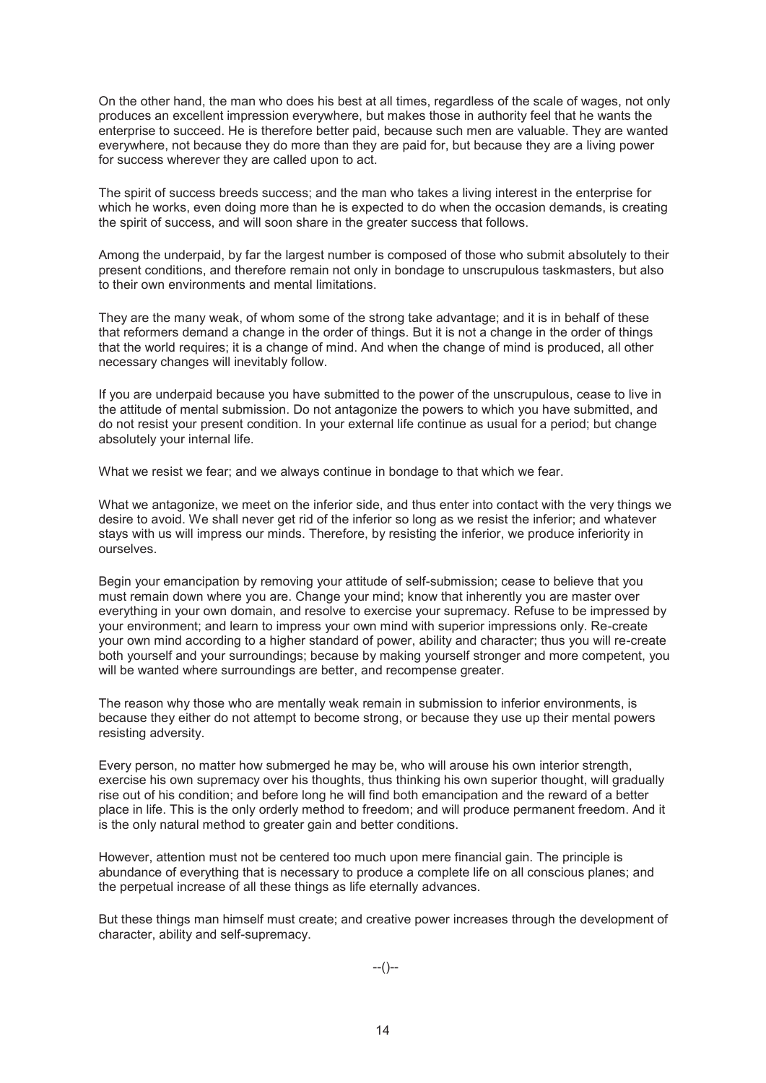On the other hand, the man who does his best at all times, regardless of the scale of wages, not only produces an excellent impression everywhere, but makes those in authority feel that he wants the enterprise to succeed. He is therefore better paid, because such men are valuable. They are wanted everywhere, not because they do more than they are paid for, but because they are a living power for success wherever they are called upon to act.

The spirit of success breeds success; and the man who takes a living interest in the enterprise for which he works, even doing more than he is expected to do when the occasion demands, is creating the spirit of success, and will soon share in the greater success that follows.

Among the underpaid, by far the largest number is composed of those who submit absolutely to their present conditions, and therefore remain not only in bondage to unscrupulous taskmasters, but also to their own environments and mental limitations.

They are the many weak, of whom some of the strong take advantage; and it is in behalf of these that reformers demand a change in the order of things. But it is not a change in the order of things that the world requires; it is a change of mind. And when the change of mind is produced, all other necessary changes will inevitably follow.

If you are underpaid because you have submitted to the power of the unscrupulous, cease to live in the attitude of mental submission. Do not antagonize the powers to which you have submitted, and do not resist your present condition. In your external life continue as usual for a period; but change absolutely your internal life.

What we resist we fear; and we always continue in bondage to that which we fear.

What we antagonize, we meet on the inferior side, and thus enter into contact with the very things we desire to avoid. We shall never get rid of the inferior so long as we resist the inferior; and whatever stays with us will impress our minds. Therefore, by resisting the inferior, we produce inferiority in ourselves.

Begin your emancipation by removing your attitude of self-submission; cease to believe that you must remain down where you are. Change your mind; know that inherently you are master over everything in your own domain, and resolve to exercise your supremacy. Refuse to be impressed by your environment; and learn to impress your own mind with superior impressions only. Re-create your own mind according to a higher standard of power, ability and character; thus you will re-create both yourself and your surroundings; because by making yourself stronger and more competent, you will be wanted where surroundings are better, and recompense greater.

The reason why those who are mentally weak remain in submission to inferior environments, is because they either do not attempt to become strong, or because they use up their mental powers resisting adversity.

Every person, no matter how submerged he may be, who will arouse his own interior strength, exercise his own supremacy over his thoughts, thus thinking his own superior thought, will gradually rise out of his condition; and before long he will find both emancipation and the reward of a better place in life. This is the only orderly method to freedom; and will produce permanent freedom. And it is the only natural method to greater gain and better conditions.

However, attention must not be centered too much upon mere financial gain. The principle is abundance of everything that is necessary to produce a complete life on all conscious planes; and the perpetual increase of all these things as life eternally advances.

But these things man himself must create; and creative power increases through the development of character, ability and self-supremacy.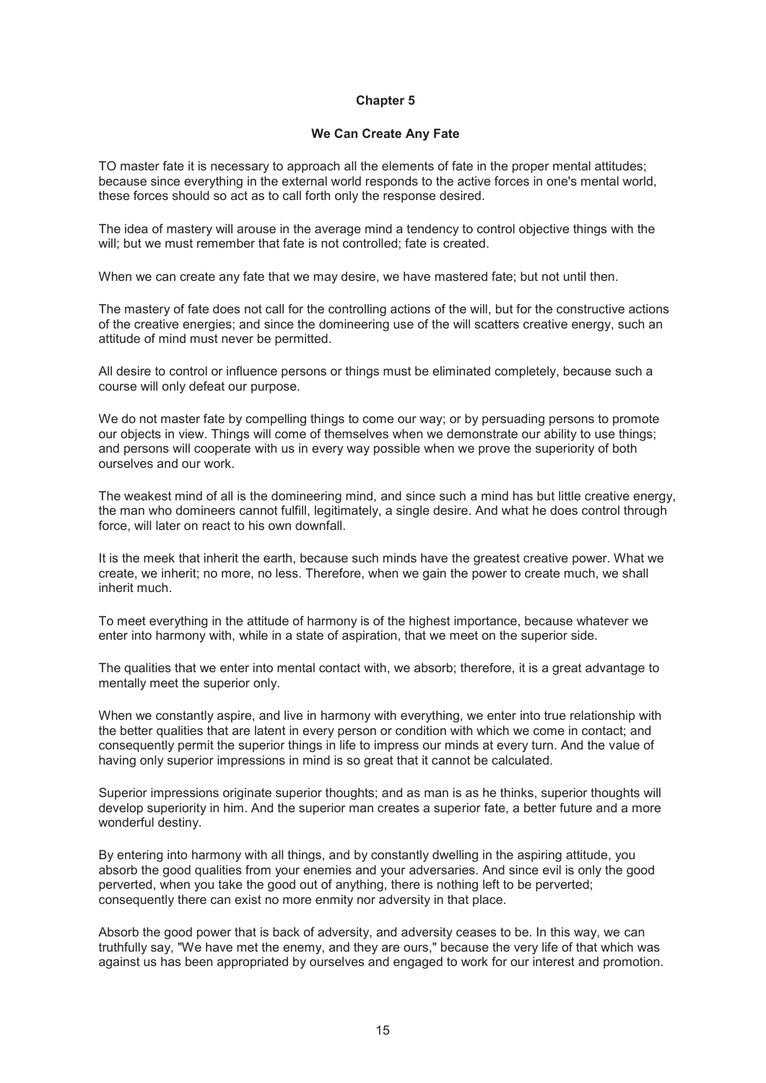#### **We Can Create Any Fate**

TO master fate it is necessary to approach all the elements of fate in the proper mental attitudes; because since everything in the external world responds to the active forces in one's mental world, these forces should so act as to call forth only the response desired.

The idea of mastery will arouse in the average mind a tendency to control objective things with the will; but we must remember that fate is not controlled; fate is created.

When we can create any fate that we may desire, we have mastered fate; but not until then.

The mastery of fate does not call for the controlling actions of the will, but for the constructive actions of the creative energies; and since the domineering use of the will scatters creative energy, such an attitude of mind must never be permitted.

All desire to control or influence persons or things must be eliminated completely, because such a course will only defeat our purpose.

We do not master fate by compelling things to come our way; or by persuading persons to promote our objects in view. Things will come of themselves when we demonstrate our ability to use things; and persons will cooperate with us in every way possible when we prove the superiority of both ourselves and our work.

The weakest mind of all is the domineering mind, and since such a mind has but little creative energy, the man who domineers cannot fulfill, legitimately, a single desire. And what he does control through force, will later on react to his own downfall.

It is the meek that inherit the earth, because such minds have the greatest creative power. What we create, we inherit; no more, no less. Therefore, when we gain the power to create much, we shall inherit much.

To meet everything in the attitude of harmony is of the highest importance, because whatever we enter into harmony with, while in a state of aspiration, that we meet on the superior side.

The qualities that we enter into mental contact with, we absorb; therefore, it is a great advantage to mentally meet the superior only.

When we constantly aspire, and live in harmony with everything, we enter into true relationship with the better qualities that are latent in every person or condition with which we come in contact; and consequently permit the superior things in life to impress our minds at every turn. And the value of having only superior impressions in mind is so great that it cannot be calculated.

Superior impressions originate superior thoughts; and as man is as he thinks, superior thoughts will develop superiority in him. And the superior man creates a superior fate, a better future and a more wonderful destiny.

By entering into harmony with all things, and by constantly dwelling in the aspiring attitude, you absorb the good qualities from your enemies and your adversaries. And since evil is only the good perverted, when you take the good out of anything, there is nothing left to be perverted; consequently there can exist no more enmity nor adversity in that place.

Absorb the good power that is back of adversity, and adversity ceases to be. In this way, we can truthfully say, "We have met the enemy, and they are ours," because the very life of that which was against us has been appropriated by ourselves and engaged to work for our interest and promotion.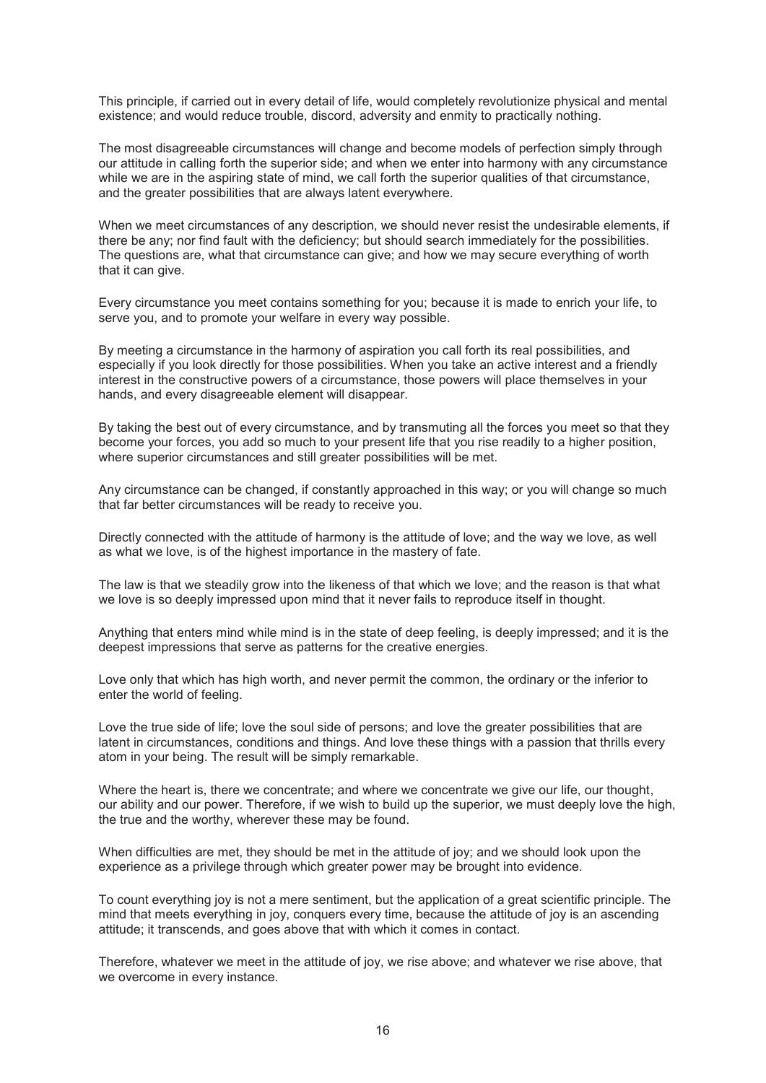This principle, if carried out in every detail of life, would completely revolutionize physical and mental existence; and would reduce trouble, discord, adversity and enmity to practically nothing.

The most disagreeable circumstances will change and become models of perfection simply through our attitude in calling forth the superior side; and when we enter into harmony with any circumstance while we are in the aspiring state of mind, we call forth the superior qualities of that circumstance, and the greater possibilities that are always latent everywhere.

When we meet circumstances of any description, we should never resist the undesirable elements, if there be any; nor find fault with the deficiency; but should search immediately for the possibilities. The questions are, what that circumstance can give; and how we may secure everything of worth that it can give.

Every circumstance you meet contains something for you; because it is made to enrich your life, to serve you, and to promote your welfare in every way possible.

By meeting a circumstance in the harmony of aspiration you call forth its real possibilities, and especially if you look directly for those possibilities. When you take an active interest and a friendly interest in the constructive powers of a circumstance, those powers will place themselves in your hands, and every disagreeable element will disappear.

By taking the best out of every circumstance, and by transmuting all the forces you meet so that they become your forces, you add so much to your present life that you rise readily to a higher position, where superior circumstances and still greater possibilities will be met.

Any circumstance can be changed, if constantly approached in this way; or you will change so much that far better circumstances will be ready to receive you.

Directly connected with the attitude of harmony is the attitude of love; and the way we love, as well as what we love, is of the highest importance in the mastery of fate.

The law is that we steadily grow into the likeness of that which we love; and the reason is that what we love is so deeply impressed upon mind that it never fails to reproduce itself in thought.

Anything that enters mind while mind is in the state of deep feeling, is deeply impressed; and it is the deepest impressions that serve as patterns for the creative energies.

Love only that which has high worth, and never permit the common, the ordinary or the inferior to enter the world of feeling.

Love the true side of life; love the soul side of persons; and love the greater possibilities that are latent in circumstances, conditions and things. And love these things with a passion that thrills every atom in your being. The result will be simply remarkable.

Where the heart is, there we concentrate; and where we concentrate we give our life, our thought, our ability and our power. Therefore, if we wish to build up the superior, we must deeply love the high, the true and the worthy, wherever these may be found.

When difficulties are met, they should be met in the attitude of joy; and we should look upon the experience as a privilege through which greater power may be brought into evidence.

To count everything joy is not a mere sentiment, but the application of a great scientific principle. The mind that meets everything in joy, conquers every time, because the attitude of joy is an ascending attitude; it transcends, and goes above that with which it comes in contact.

Therefore, whatever we meet in the attitude of joy, we rise above; and whatever we rise above, that we overcome in every instance.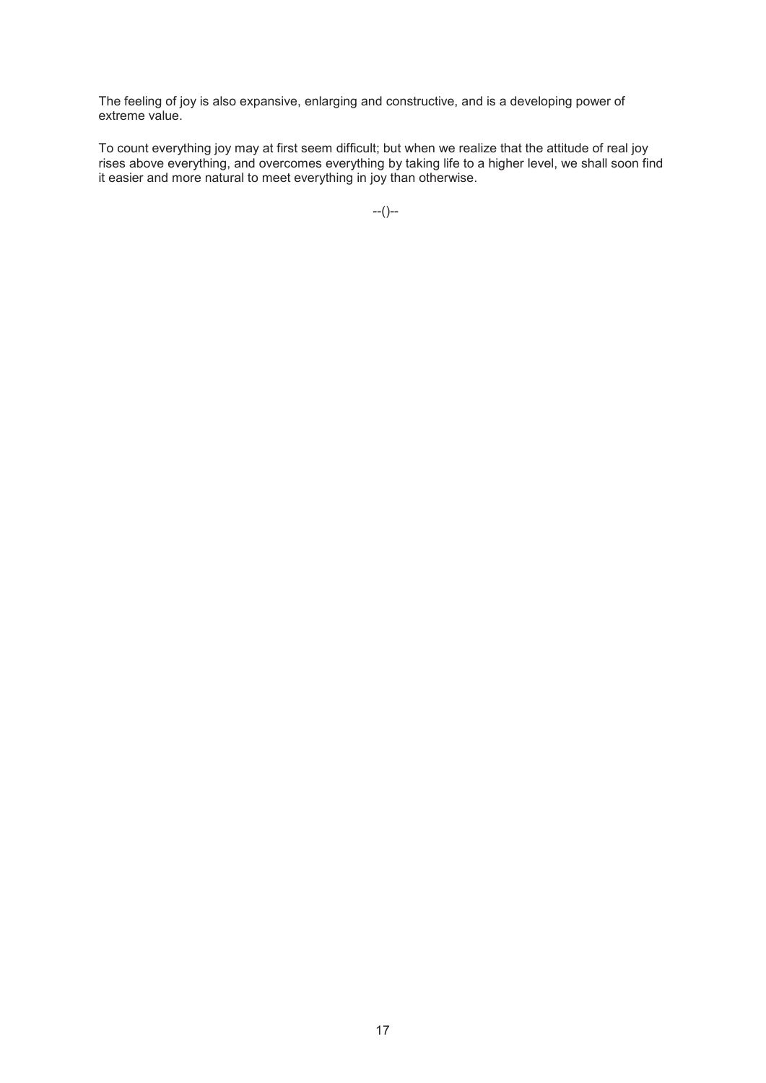The feeling of joy is also expansive, enlarging and constructive, and is a developing power of extreme value.

To count everything joy may at first seem difficult; but when we realize that the attitude of real joy rises above everything, and overcomes everything by taking life to a higher level, we shall soon find it easier and more natural to meet everything in joy than otherwise.

 $-(-)$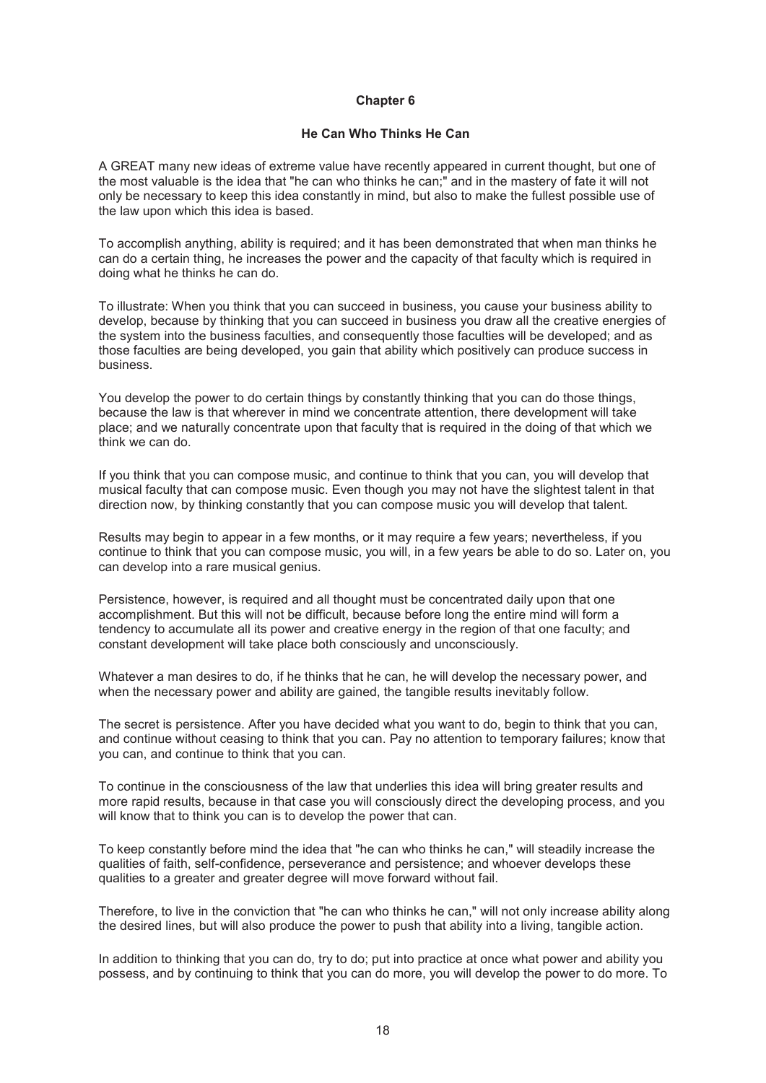#### **He Can Who Thinks He Can**

A GREAT many new ideas of extreme value have recently appeared in current thought, but one of the most valuable is the idea that "he can who thinks he can;" and in the mastery of fate it will not only be necessary to keep this idea constantly in mind, but also to make the fullest possible use of the law upon which this idea is based.

To accomplish anything, ability is required; and it has been demonstrated that when man thinks he can do a certain thing, he increases the power and the capacity of that faculty which is required in doing what he thinks he can do.

To illustrate: When you think that you can succeed in business, you cause your business ability to develop, because by thinking that you can succeed in business you draw all the creative energies of the system into the business faculties, and consequently those faculties will be developed; and as those faculties are being developed, you gain that ability which positively can produce success in business.

You develop the power to do certain things by constantly thinking that you can do those things, because the law is that wherever in mind we concentrate attention, there development will take place; and we naturally concentrate upon that faculty that is required in the doing of that which we think we can do.

If you think that you can compose music, and continue to think that you can, you will develop that musical faculty that can compose music. Even though you may not have the slightest talent in that direction now, by thinking constantly that you can compose music you will develop that talent.

Results may begin to appear in a few months, or it may require a few years; nevertheless, if you continue to think that you can compose music, you will, in a few years be able to do so. Later on, you can develop into a rare musical genius.

Persistence, however, is required and all thought must be concentrated daily upon that one accomplishment. But this will not be difficult, because before long the entire mind will form a tendency to accumulate all its power and creative energy in the region of that one faculty; and constant development will take place both consciously and unconsciously.

Whatever a man desires to do, if he thinks that he can, he will develop the necessary power, and when the necessary power and ability are gained, the tangible results inevitably follow.

The secret is persistence. After you have decided what you want to do, begin to think that you can, and continue without ceasing to think that you can. Pay no attention to temporary failures; know that you can, and continue to think that you can.

To continue in the consciousness of the law that underlies this idea will bring greater results and more rapid results, because in that case you will consciously direct the developing process, and you will know that to think you can is to develop the power that can.

To keep constantly before mind the idea that "he can who thinks he can," will steadily increase the qualities of faith, self-confidence, perseverance and persistence; and whoever develops these qualities to a greater and greater degree will move forward without fail.

Therefore, to live in the conviction that "he can who thinks he can," will not only increase ability along the desired lines, but will also produce the power to push that ability into a living, tangible action.

In addition to thinking that you can do, try to do; put into practice at once what power and ability you possess, and by continuing to think that you can do more, you will develop the power to do more. To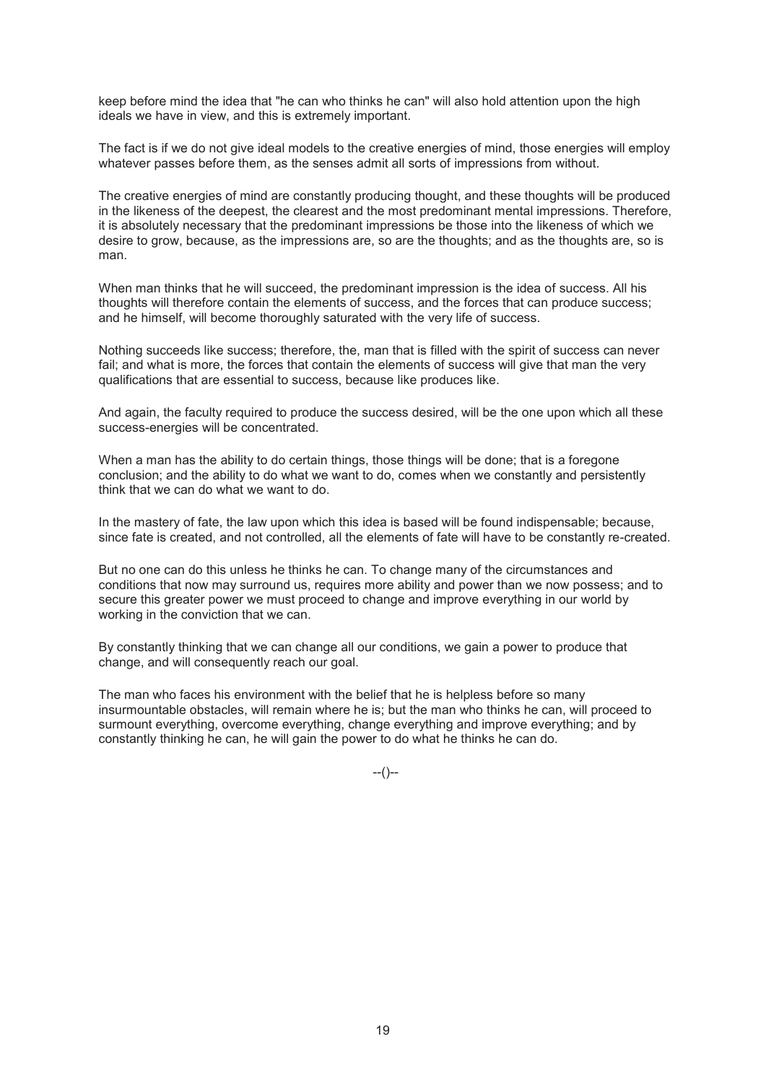keep before mind the idea that "he can who thinks he can" will also hold attention upon the high ideals we have in view, and this is extremely important.

The fact is if we do not give ideal models to the creative energies of mind, those energies will employ whatever passes before them, as the senses admit all sorts of impressions from without.

The creative energies of mind are constantly producing thought, and these thoughts will be produced in the likeness of the deepest, the clearest and the most predominant mental impressions. Therefore, it is absolutely necessary that the predominant impressions be those into the likeness of which we desire to grow, because, as the impressions are, so are the thoughts; and as the thoughts are, so is man.

When man thinks that he will succeed, the predominant impression is the idea of success. All his thoughts will therefore contain the elements of success, and the forces that can produce success; and he himself, will become thoroughly saturated with the very life of success.

Nothing succeeds like success; therefore, the, man that is filled with the spirit of success can never fail; and what is more, the forces that contain the elements of success will give that man the very qualifications that are essential to success, because like produces like.

And again, the faculty required to produce the success desired, will be the one upon which all these success-energies will be concentrated.

When a man has the ability to do certain things, those things will be done; that is a foregone conclusion; and the ability to do what we want to do, comes when we constantly and persistently think that we can do what we want to do.

In the mastery of fate, the law upon which this idea is based will be found indispensable; because, since fate is created, and not controlled, all the elements of fate will have to be constantly re-created.

But no one can do this unless he thinks he can. To change many of the circumstances and conditions that now may surround us, requires more ability and power than we now possess; and to secure this greater power we must proceed to change and improve everything in our world by working in the conviction that we can.

By constantly thinking that we can change all our conditions, we gain a power to produce that change, and will consequently reach our goal.

The man who faces his environment with the belief that he is helpless before so many insurmountable obstacles, will remain where he is; but the man who thinks he can, will proceed to surmount everything, overcome everything, change everything and improve everything; and by constantly thinking he can, he will gain the power to do what he thinks he can do.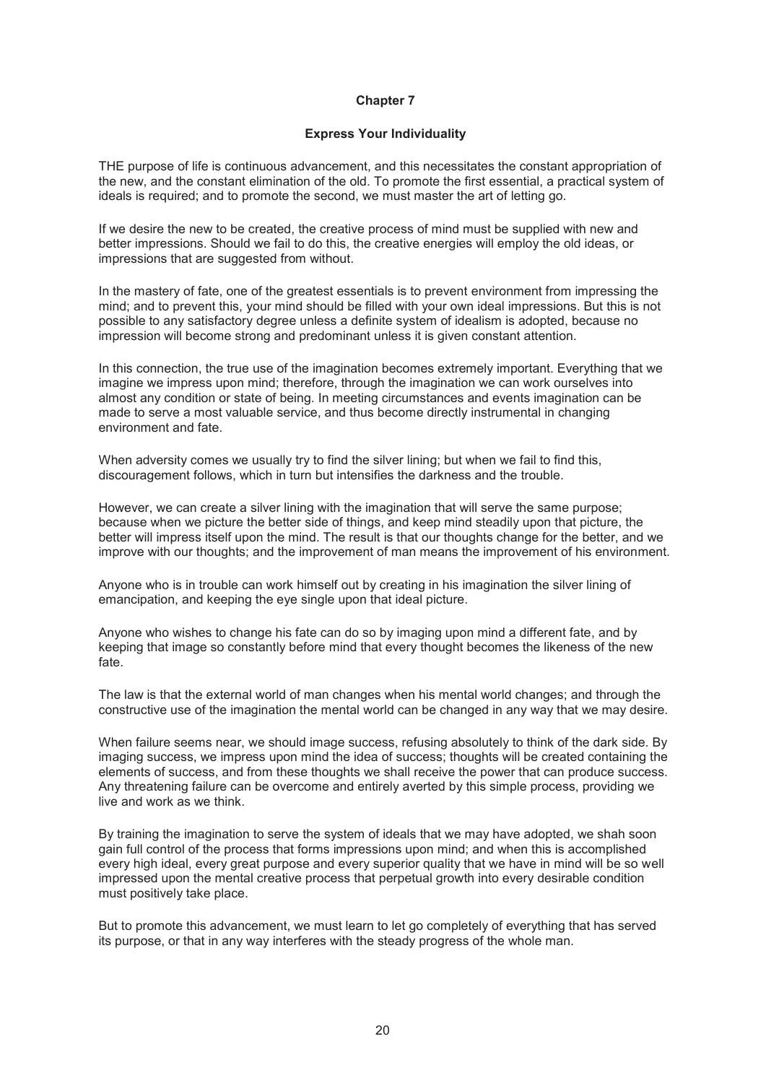#### **Express Your Individuality**

THE purpose of life is continuous advancement, and this necessitates the constant appropriation of the new, and the constant elimination of the old. To promote the first essential, a practical system of ideals is required; and to promote the second, we must master the art of letting go.

If we desire the new to be created, the creative process of mind must be supplied with new and better impressions. Should we fail to do this, the creative energies will employ the old ideas, or impressions that are suggested from without.

In the mastery of fate, one of the greatest essentials is to prevent environment from impressing the mind; and to prevent this, your mind should be filled with your own ideal impressions. But this is not possible to any satisfactory degree unless a definite system of idealism is adopted, because no impression will become strong and predominant unless it is given constant attention.

In this connection, the true use of the imagination becomes extremely important. Everything that we imagine we impress upon mind; therefore, through the imagination we can work ourselves into almost any condition or state of being. In meeting circumstances and events imagination can be made to serve a most valuable service, and thus become directly instrumental in changing environment and fate.

When adversity comes we usually try to find the silver lining; but when we fail to find this, discouragement follows, which in turn but intensifies the darkness and the trouble.

However, we can create a silver lining with the imagination that will serve the same purpose; because when we picture the better side of things, and keep mind steadily upon that picture, the better will impress itself upon the mind. The result is that our thoughts change for the better, and we improve with our thoughts; and the improvement of man means the improvement of his environment.

Anyone who is in trouble can work himself out by creating in his imagination the silver lining of emancipation, and keeping the eye single upon that ideal picture.

Anyone who wishes to change his fate can do so by imaging upon mind a different fate, and by keeping that image so constantly before mind that every thought becomes the likeness of the new fate.

The law is that the external world of man changes when his mental world changes; and through the constructive use of the imagination the mental world can be changed in any way that we may desire.

When failure seems near, we should image success, refusing absolutely to think of the dark side. By imaging success, we impress upon mind the idea of success; thoughts will be created containing the elements of success, and from these thoughts we shall receive the power that can produce success. Any threatening failure can be overcome and entirely averted by this simple process, providing we live and work as we think.

By training the imagination to serve the system of ideals that we may have adopted, we shah soon gain full control of the process that forms impressions upon mind; and when this is accomplished every high ideal, every great purpose and every superior quality that we have in mind will be so well impressed upon the mental creative process that perpetual growth into every desirable condition must positively take place.

But to promote this advancement, we must learn to let go completely of everything that has served its purpose, or that in any way interferes with the steady progress of the whole man.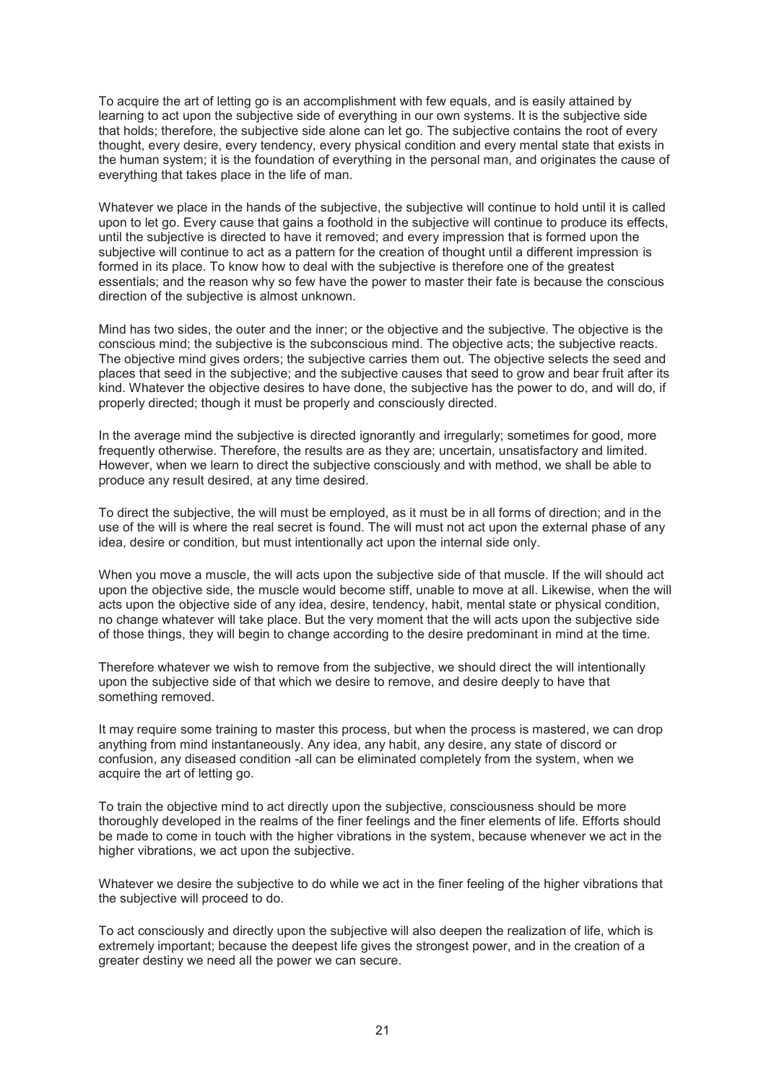To acquire the art of letting go is an accomplishment with few equals, and is easily attained by learning to act upon the subjective side of everything in our own systems. It is the subjective side that holds; therefore, the subjective side alone can let go. The subjective contains the root of every thought, every desire, every tendency, every physical condition and every mental state that exists in the human system; it is the foundation of everything in the personal man, and originates the cause of everything that takes place in the life of man.

Whatever we place in the hands of the subjective, the subjective will continue to hold until it is called upon to let go. Every cause that gains a foothold in the subjective will continue to produce its effects, until the subjective is directed to have it removed; and every impression that is formed upon the subjective will continue to act as a pattern for the creation of thought until a different impression is formed in its place. To know how to deal with the subjective is therefore one of the greatest essentials; and the reason why so few have the power to master their fate is because the conscious direction of the subjective is almost unknown.

Mind has two sides, the outer and the inner; or the objective and the subjective. The objective is the conscious mind; the subjective is the subconscious mind. The objective acts; the subjective reacts. The objective mind gives orders; the subjective carries them out. The objective selects the seed and places that seed in the subjective; and the subjective causes that seed to grow and bear fruit after its kind. Whatever the objective desires to have done, the subjective has the power to do, and will do, if properly directed; though it must be properly and consciously directed.

In the average mind the subjective is directed ignorantly and irregularly; sometimes for good, more frequently otherwise. Therefore, the results are as they are; uncertain, unsatisfactory and limited. However, when we learn to direct the subjective consciously and with method, we shall be able to produce any result desired, at any time desired.

To direct the subjective, the will must be employed, as it must be in all forms of direction; and in the use of the will is where the real secret is found. The will must not act upon the external phase of any idea, desire or condition, but must intentionally act upon the internal side only.

When you move a muscle, the will acts upon the subjective side of that muscle. If the will should act upon the objective side, the muscle would become stiff, unable to move at all. Likewise, when the will acts upon the objective side of any idea, desire, tendency, habit, mental state or physical condition, no change whatever will take place. But the very moment that the will acts upon the subjective side of those things, they will begin to change according to the desire predominant in mind at the time.

Therefore whatever we wish to remove from the subjective, we should direct the will intentionally upon the subjective side of that which we desire to remove, and desire deeply to have that something removed.

It may require some training to master this process, but when the process is mastered, we can drop anything from mind instantaneously. Any idea, any habit, any desire, any state of discord or confusion, any diseased condition -all can be eliminated completely from the system, when we acquire the art of letting go.

To train the objective mind to act directly upon the subjective, consciousness should be more thoroughly developed in the realms of the finer feelings and the finer elements of life. Efforts should be made to come in touch with the higher vibrations in the system, because whenever we act in the higher vibrations, we act upon the subjective.

Whatever we desire the subjective to do while we act in the finer feeling of the higher vibrations that the subjective will proceed to do.

To act consciously and directly upon the subjective will also deepen the realization of life, which is extremely important; because the deepest life gives the strongest power, and in the creation of a greater destiny we need all the power we can secure.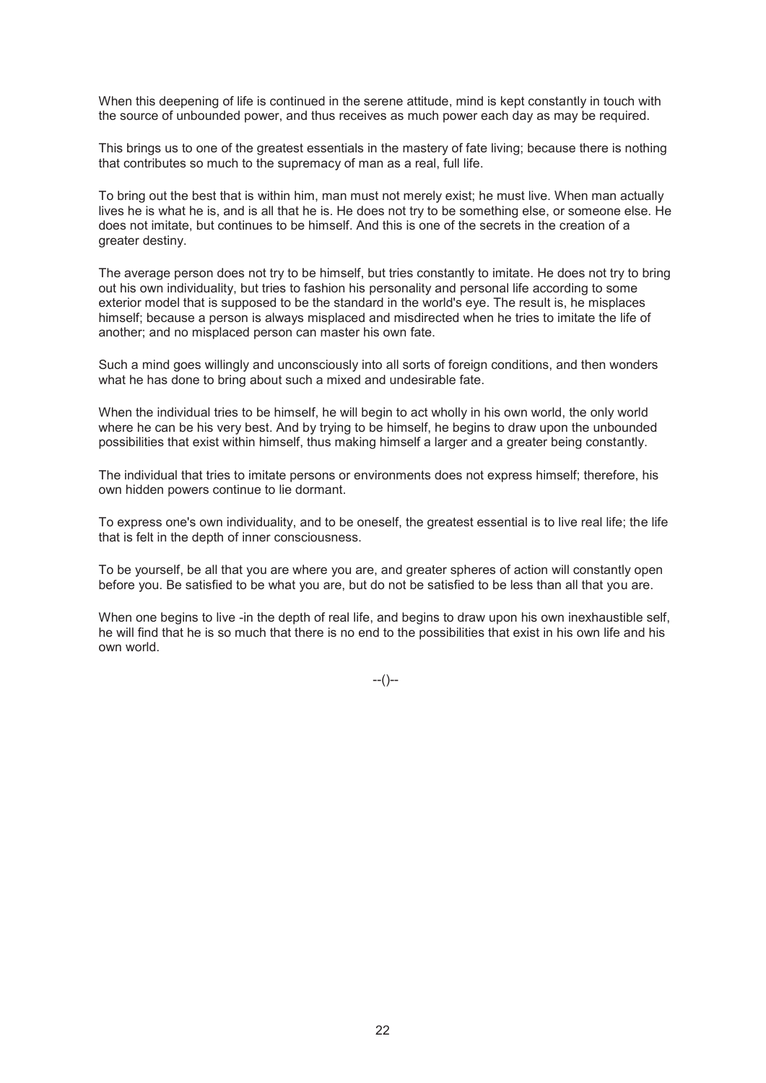When this deepening of life is continued in the serene attitude, mind is kept constantly in touch with the source of unbounded power, and thus receives as much power each day as may be required.

This brings us to one of the greatest essentials in the mastery of fate living; because there is nothing that contributes so much to the supremacy of man as a real, full life.

To bring out the best that is within him, man must not merely exist; he must live. When man actually lives he is what he is, and is all that he is. He does not try to be something else, or someone else. He does not imitate, but continues to be himself. And this is one of the secrets in the creation of a greater destiny.

The average person does not try to be himself, but tries constantly to imitate. He does not try to bring out his own individuality, but tries to fashion his personality and personal life according to some exterior model that is supposed to be the standard in the world's eye. The result is, he misplaces himself; because a person is always misplaced and misdirected when he tries to imitate the life of another; and no misplaced person can master his own fate.

Such a mind goes willingly and unconsciously into all sorts of foreign conditions, and then wonders what he has done to bring about such a mixed and undesirable fate.

When the individual tries to be himself, he will begin to act wholly in his own world, the only world where he can be his very best. And by trying to be himself, he begins to draw upon the unbounded possibilities that exist within himself, thus making himself a larger and a greater being constantly.

The individual that tries to imitate persons or environments does not express himself; therefore, his own hidden powers continue to lie dormant.

To express one's own individuality, and to be oneself, the greatest essential is to live real life; the life that is felt in the depth of inner consciousness.

To be yourself, be all that you are where you are, and greater spheres of action will constantly open before you. Be satisfied to be what you are, but do not be satisfied to be less than all that you are.

When one begins to live -in the depth of real life, and begins to draw upon his own inexhaustible self, he will find that he is so much that there is no end to the possibilities that exist in his own life and his own world.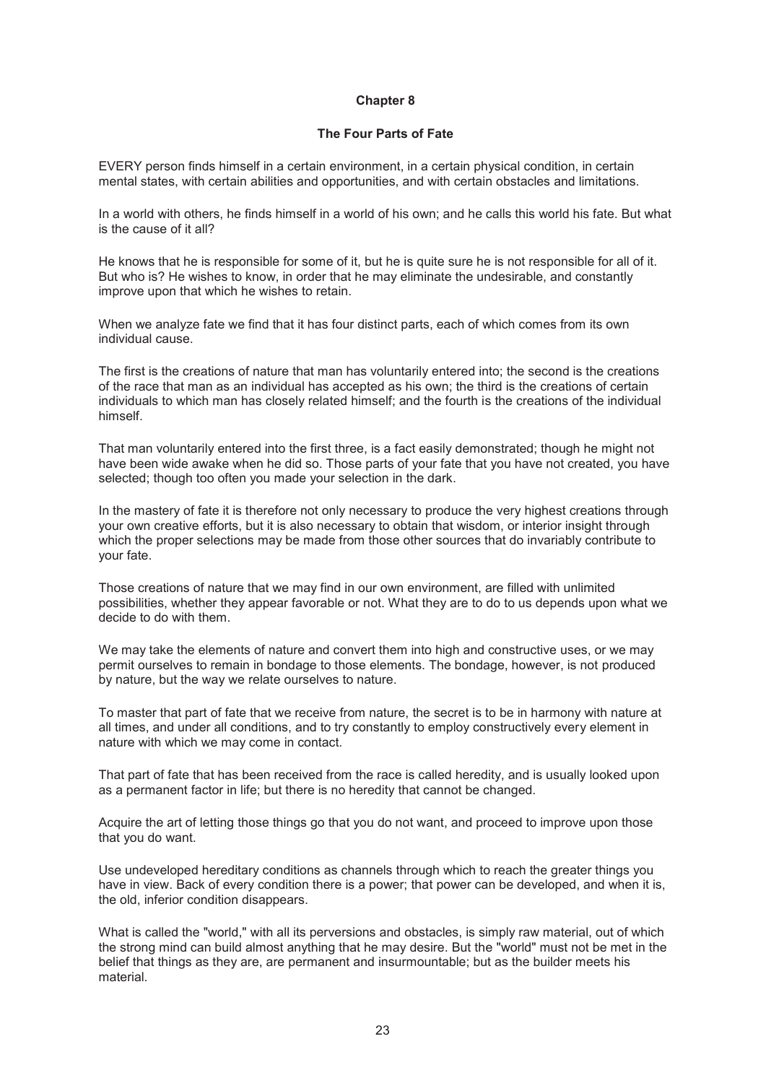#### **The Four Parts of Fate**

EVERY person finds himself in a certain environment, in a certain physical condition, in certain mental states, with certain abilities and opportunities, and with certain obstacles and limitations.

In a world with others, he finds himself in a world of his own; and he calls this world his fate. But what is the cause of it all?

He knows that he is responsible for some of it, but he is quite sure he is not responsible for all of it. But who is? He wishes to know, in order that he may eliminate the undesirable, and constantly improve upon that which he wishes to retain.

When we analyze fate we find that it has four distinct parts, each of which comes from its own individual cause.

The first is the creations of nature that man has voluntarily entered into; the second is the creations of the race that man as an individual has accepted as his own; the third is the creations of certain individuals to which man has closely related himself; and the fourth is the creations of the individual himself.

That man voluntarily entered into the first three, is a fact easily demonstrated; though he might not have been wide awake when he did so. Those parts of your fate that you have not created, you have selected; though too often you made your selection in the dark.

In the mastery of fate it is therefore not only necessary to produce the very highest creations through your own creative efforts, but it is also necessary to obtain that wisdom, or interior insight through which the proper selections may be made from those other sources that do invariably contribute to your fate.

Those creations of nature that we may find in our own environment, are filled with unlimited possibilities, whether they appear favorable or not. What they are to do to us depends upon what we decide to do with them.

We may take the elements of nature and convert them into high and constructive uses, or we may permit ourselves to remain in bondage to those elements. The bondage, however, is not produced by nature, but the way we relate ourselves to nature.

To master that part of fate that we receive from nature, the secret is to be in harmony with nature at all times, and under all conditions, and to try constantly to employ constructively every element in nature with which we may come in contact.

That part of fate that has been received from the race is called heredity, and is usually looked upon as a permanent factor in life; but there is no heredity that cannot be changed.

Acquire the art of letting those things go that you do not want, and proceed to improve upon those that you do want.

Use undeveloped hereditary conditions as channels through which to reach the greater things you have in view. Back of every condition there is a power; that power can be developed, and when it is, the old, inferior condition disappears.

What is called the "world," with all its perversions and obstacles, is simply raw material, out of which the strong mind can build almost anything that he may desire. But the "world" must not be met in the belief that things as they are, are permanent and insurmountable; but as the builder meets his material.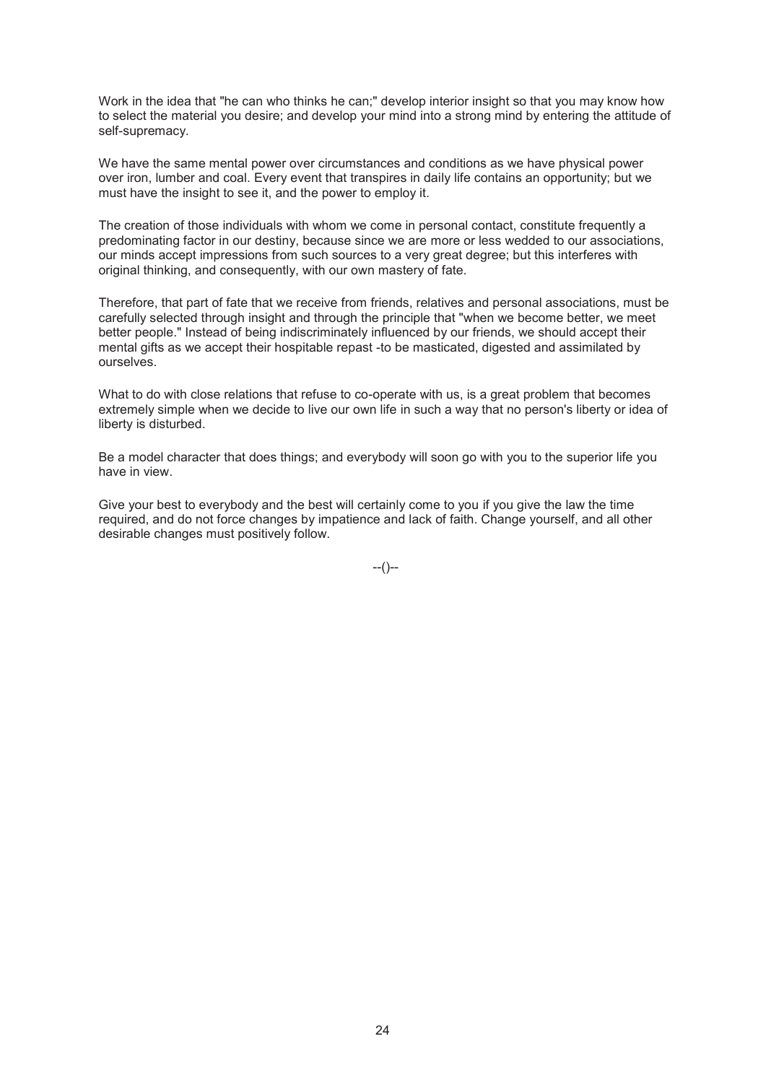Work in the idea that "he can who thinks he can;" develop interior insight so that you may know how to select the material you desire; and develop your mind into a strong mind by entering the attitude of self-supremacy.

We have the same mental power over circumstances and conditions as we have physical power over iron, lumber and coal. Every event that transpires in daily life contains an opportunity; but we must have the insight to see it, and the power to employ it.

The creation of those individuals with whom we come in personal contact, constitute frequently a predominating factor in our destiny, because since we are more or less wedded to our associations, our minds accept impressions from such sources to a very great degree; but this interferes with original thinking, and consequently, with our own mastery of fate.

Therefore, that part of fate that we receive from friends, relatives and personal associations, must be carefully selected through insight and through the principle that "when we become better, we meet better people." Instead of being indiscriminately influenced by our friends, we should accept their mental gifts as we accept their hospitable repast -to be masticated, digested and assimilated by ourselves.

What to do with close relations that refuse to co-operate with us, is a great problem that becomes extremely simple when we decide to live our own life in such a way that no person's liberty or idea of liberty is disturbed.

Be a model character that does things; and everybody will soon go with you to the superior life you have in view.

Give your best to everybody and the best will certainly come to you if you give the law the time required, and do not force changes by impatience and lack of faith. Change yourself, and all other desirable changes must positively follow.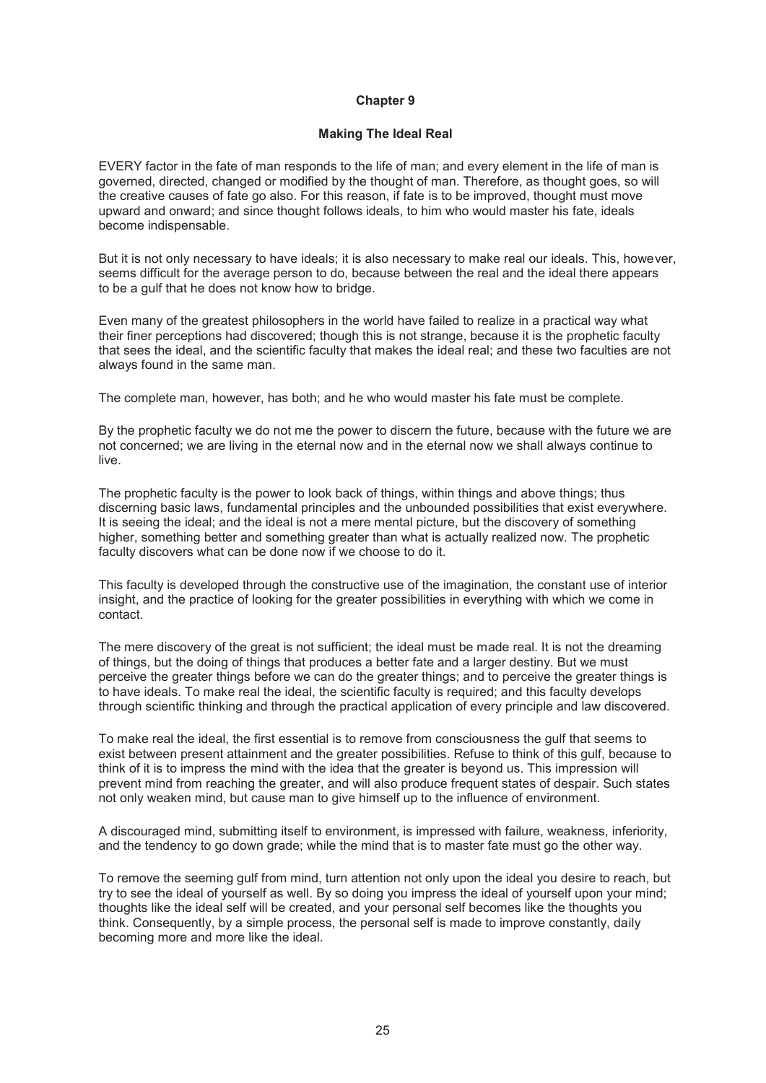#### **Making The Ideal Real**

EVERY factor in the fate of man responds to the life of man; and every element in the life of man is governed, directed, changed or modified by the thought of man. Therefore, as thought goes, so will the creative causes of fate go also. For this reason, if fate is to be improved, thought must move upward and onward; and since thought follows ideals, to him who would master his fate, ideals become indispensable.

But it is not only necessary to have ideals; it is also necessary to make real our ideals. This, however, seems difficult for the average person to do, because between the real and the ideal there appears to be a gulf that he does not know how to bridge.

Even many of the greatest philosophers in the world have failed to realize in a practical way what their finer perceptions had discovered; though this is not strange, because it is the prophetic faculty that sees the ideal, and the scientific faculty that makes the ideal real; and these two faculties are not always found in the same man.

The complete man, however, has both; and he who would master his fate must be complete.

By the prophetic faculty we do not me the power to discern the future, because with the future we are not concerned; we are living in the eternal now and in the eternal now we shall always continue to live.

The prophetic faculty is the power to look back of things, within things and above things; thus discerning basic laws, fundamental principles and the unbounded possibilities that exist everywhere. It is seeing the ideal; and the ideal is not a mere mental picture, but the discovery of something higher, something better and something greater than what is actually realized now. The prophetic faculty discovers what can be done now if we choose to do it.

This faculty is developed through the constructive use of the imagination, the constant use of interior insight, and the practice of looking for the greater possibilities in everything with which we come in contact.

The mere discovery of the great is not sufficient; the ideal must be made real. It is not the dreaming of things, but the doing of things that produces a better fate and a larger destiny. But we must perceive the greater things before we can do the greater things; and to perceive the greater things is to have ideals. To make real the ideal, the scientific faculty is required; and this faculty develops through scientific thinking and through the practical application of every principle and law discovered.

To make real the ideal, the first essential is to remove from consciousness the gulf that seems to exist between present attainment and the greater possibilities. Refuse to think of this gulf, because to think of it is to impress the mind with the idea that the greater is beyond us. This impression will prevent mind from reaching the greater, and will also produce frequent states of despair. Such states not only weaken mind, but cause man to give himself up to the influence of environment.

A discouraged mind, submitting itself to environment, is impressed with failure, weakness, inferiority, and the tendency to go down grade; while the mind that is to master fate must go the other way.

To remove the seeming gulf from mind, turn attention not only upon the ideal you desire to reach, but try to see the ideal of yourself as well. By so doing you impress the ideal of yourself upon your mind; thoughts like the ideal self will be created, and your personal self becomes like the thoughts you think. Consequently, by a simple process, the personal self is made to improve constantly, daily becoming more and more like the ideal.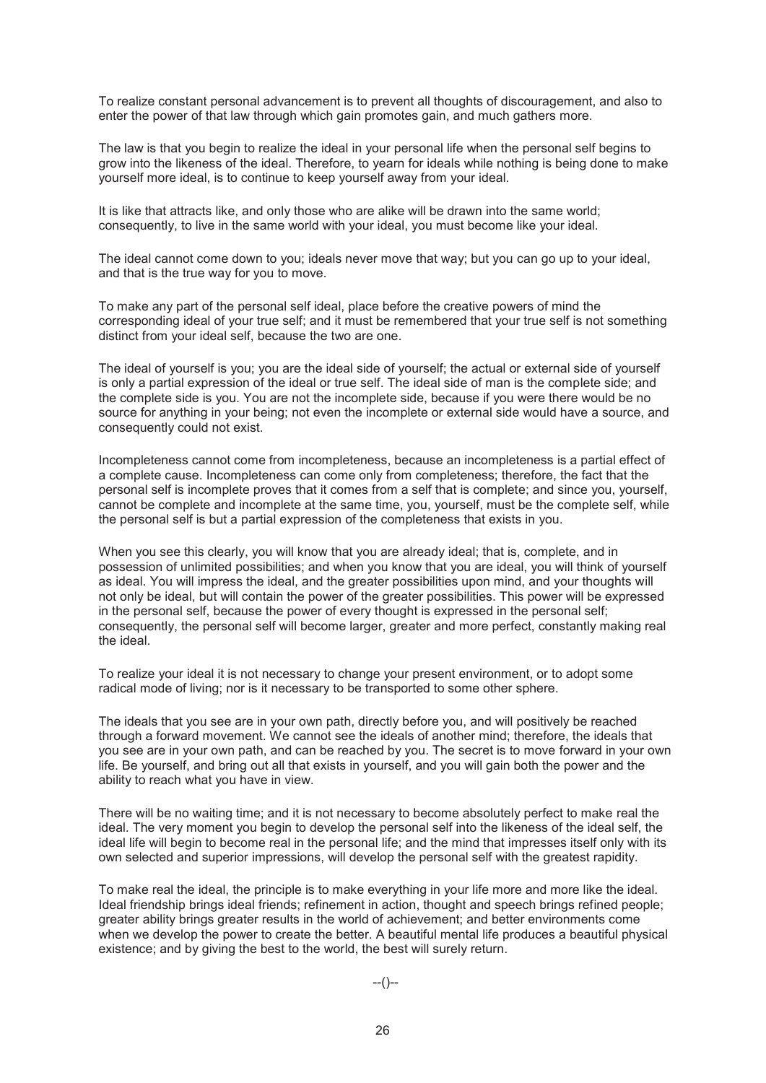To realize constant personal advancement is to prevent all thoughts of discouragement, and also to enter the power of that law through which gain promotes gain, and much gathers more.

The law is that you begin to realize the ideal in your personal life when the personal self begins to grow into the likeness of the ideal. Therefore, to yearn for ideals while nothing is being done to make yourself more ideal, is to continue to keep yourself away from your ideal.

It is like that attracts like, and only those who are alike will be drawn into the same world; consequently, to live in the same world with your ideal, you must become like your ideal.

The ideal cannot come down to you; ideals never move that way; but you can go up to your ideal, and that is the true way for you to move.

To make any part of the personal self ideal, place before the creative powers of mind the corresponding ideal of your true self; and it must be remembered that your true self is not something distinct from your ideal self, because the two are one.

The ideal of yourself is you; you are the ideal side of yourself; the actual or external side of yourself is only a partial expression of the ideal or true self. The ideal side of man is the complete side; and the complete side is you. You are not the incomplete side, because if you were there would be no source for anything in your being; not even the incomplete or external side would have a source, and consequently could not exist.

Incompleteness cannot come from incompleteness, because an incompleteness is a partial effect of a complete cause. Incompleteness can come only from completeness; therefore, the fact that the personal self is incomplete proves that it comes from a self that is complete; and since you, yourself, cannot be complete and incomplete at the same time, you, yourself, must be the complete self, while the personal self is but a partial expression of the completeness that exists in you.

When you see this clearly, you will know that you are already ideal; that is, complete, and in possession of unlimited possibilities; and when you know that you are ideal, you will think of yourself as ideal. You will impress the ideal, and the greater possibilities upon mind, and your thoughts will not only be ideal, but will contain the power of the greater possibilities. This power will be expressed in the personal self, because the power of every thought is expressed in the personal self; consequently, the personal self will become larger, greater and more perfect, constantly making real the ideal.

To realize your ideal it is not necessary to change your present environment, or to adopt some radical mode of living; nor is it necessary to be transported to some other sphere.

The ideals that you see are in your own path, directly before you, and will positively be reached through a forward movement. We cannot see the ideals of another mind; therefore, the ideals that you see are in your own path, and can be reached by you. The secret is to move forward in your own life. Be yourself, and bring out all that exists in yourself, and you will gain both the power and the ability to reach what you have in view.

There will be no waiting time; and it is not necessary to become absolutely perfect to make real the ideal. The very moment you begin to develop the personal self into the likeness of the ideal self, the ideal life will begin to become real in the personal life; and the mind that impresses itself only with its own selected and superior impressions, will develop the personal self with the greatest rapidity.

To make real the ideal, the principle is to make everything in your life more and more like the ideal. Ideal friendship brings ideal friends; refinement in action, thought and speech brings refined people; greater ability brings greater results in the world of achievement; and better environments come when we develop the power to create the better. A beautiful mental life produces a beautiful physical existence; and by giving the best to the world, the best will surely return.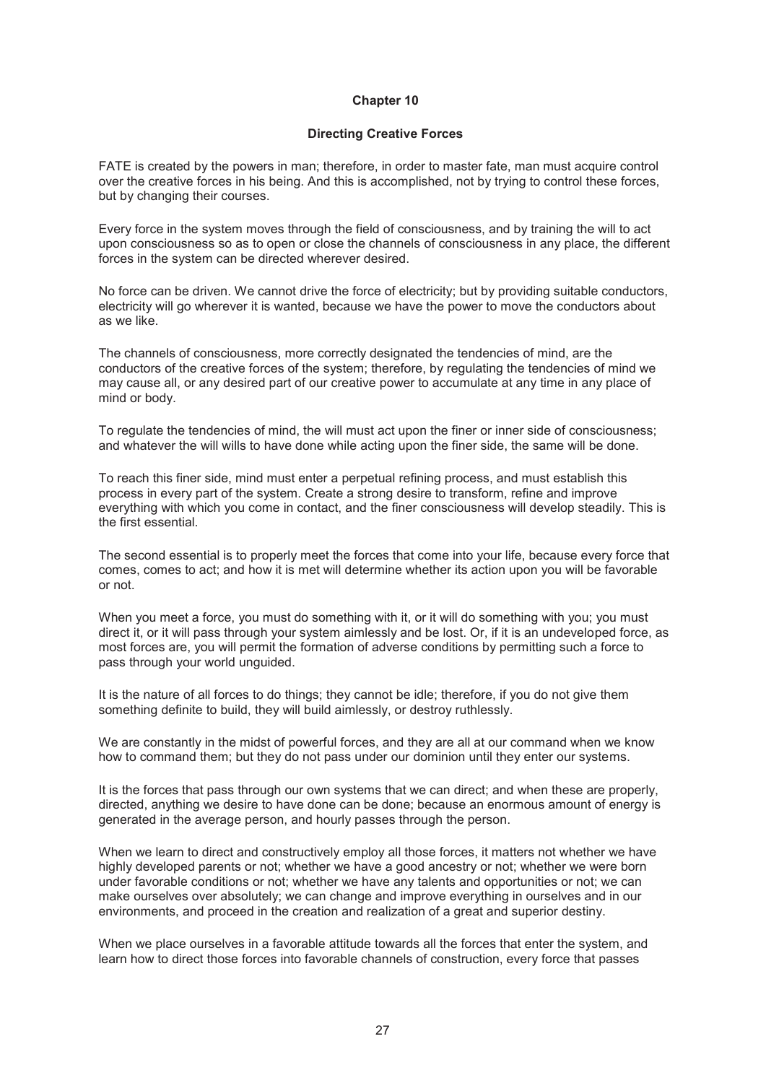#### **Directing Creative Forces**

FATE is created by the powers in man; therefore, in order to master fate, man must acquire control over the creative forces in his being. And this is accomplished, not by trying to control these forces, but by changing their courses.

Every force in the system moves through the field of consciousness, and by training the will to act upon consciousness so as to open or close the channels of consciousness in any place, the different forces in the system can be directed wherever desired.

No force can be driven. We cannot drive the force of electricity; but by providing suitable conductors, electricity will go wherever it is wanted, because we have the power to move the conductors about as we like.

The channels of consciousness, more correctly designated the tendencies of mind, are the conductors of the creative forces of the system; therefore, by regulating the tendencies of mind we may cause all, or any desired part of our creative power to accumulate at any time in any place of mind or body.

To regulate the tendencies of mind, the will must act upon the finer or inner side of consciousness; and whatever the will wills to have done while acting upon the finer side, the same will be done.

To reach this finer side, mind must enter a perpetual refining process, and must establish this process in every part of the system. Create a strong desire to transform, refine and improve everything with which you come in contact, and the finer consciousness will develop steadily. This is the first essential.

The second essential is to properly meet the forces that come into your life, because every force that comes, comes to act; and how it is met will determine whether its action upon you will be favorable or not.

When you meet a force, you must do something with it, or it will do something with you; you must direct it, or it will pass through your system aimlessly and be lost. Or, if it is an undeveloped force, as most forces are, you will permit the formation of adverse conditions by permitting such a force to pass through your world unguided.

It is the nature of all forces to do things; they cannot be idle; therefore, if you do not give them something definite to build, they will build aimlessly, or destroy ruthlessly.

We are constantly in the midst of powerful forces, and they are all at our command when we know how to command them; but they do not pass under our dominion until they enter our systems.

It is the forces that pass through our own systems that we can direct; and when these are properly, directed, anything we desire to have done can be done; because an enormous amount of energy is generated in the average person, and hourly passes through the person.

When we learn to direct and constructively employ all those forces, it matters not whether we have highly developed parents or not; whether we have a good ancestry or not; whether we were born under favorable conditions or not; whether we have any talents and opportunities or not; we can make ourselves over absolutely; we can change and improve everything in ourselves and in our environments, and proceed in the creation and realization of a great and superior destiny.

When we place ourselves in a favorable attitude towards all the forces that enter the system, and learn how to direct those forces into favorable channels of construction, every force that passes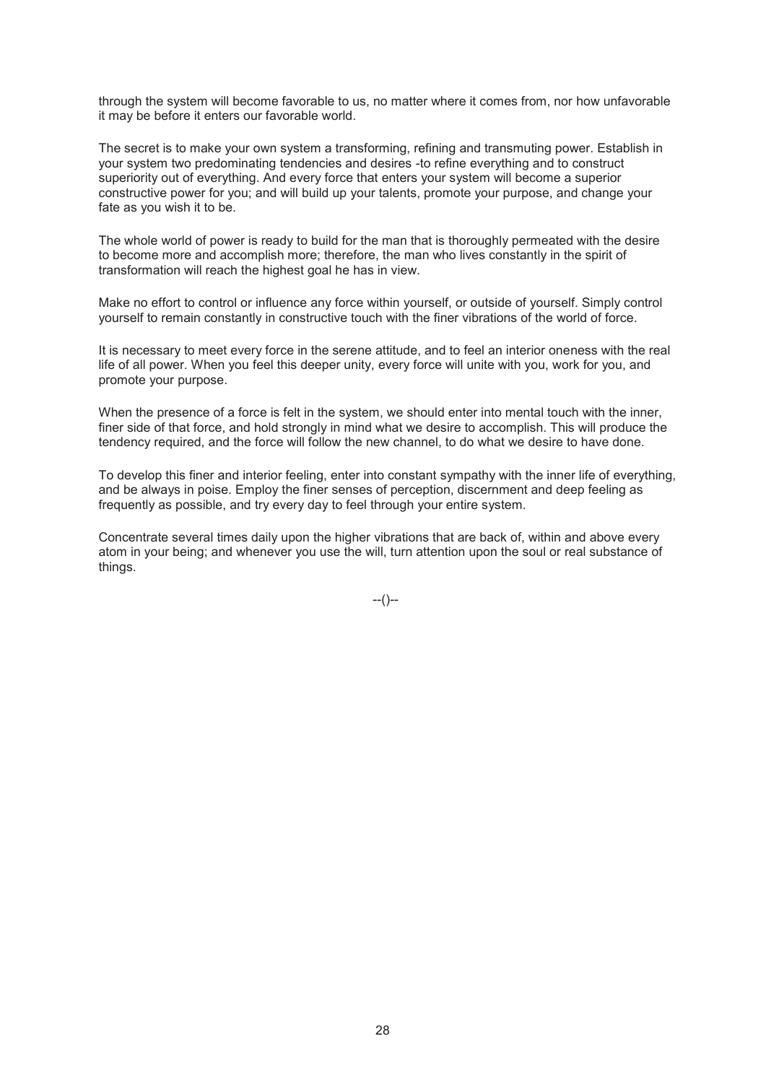through the system will become favorable to us, no matter where it comes from, nor how unfavorable it may be before it enters our favorable world.

The secret is to make your own system a transforming, refining and transmuting power. Establish in your system two predominating tendencies and desires -to refine everything and to construct superiority out of everything. And every force that enters your system will become a superior constructive power for you; and will build up your talents, promote your purpose, and change your fate as you wish it to be.

The whole world of power is ready to build for the man that is thoroughly permeated with the desire to become more and accomplish more; therefore, the man who lives constantly in the spirit of transformation will reach the highest goal he has in view.

Make no effort to control or influence any force within yourself, or outside of yourself. Simply control yourself to remain constantly in constructive touch with the finer vibrations of the world of force.

It is necessary to meet every force in the serene attitude, and to feel an interior oneness with the real life of all power. When you feel this deeper unity, every force will unite with you, work for you, and promote your purpose.

When the presence of a force is felt in the system, we should enter into mental touch with the inner, finer side of that force, and hold strongly in mind what we desire to accomplish. This will produce the tendency required, and the force will follow the new channel, to do what we desire to have done.

To develop this finer and interior feeling, enter into constant sympathy with the inner life of everything, and be always in poise. Employ the finer senses of perception, discernment and deep feeling as frequently as possible, and try every day to feel through your entire system.

Concentrate several times daily upon the higher vibrations that are back of, within and above every atom in your being; and whenever you use the will, turn attention upon the soul or real substance of things.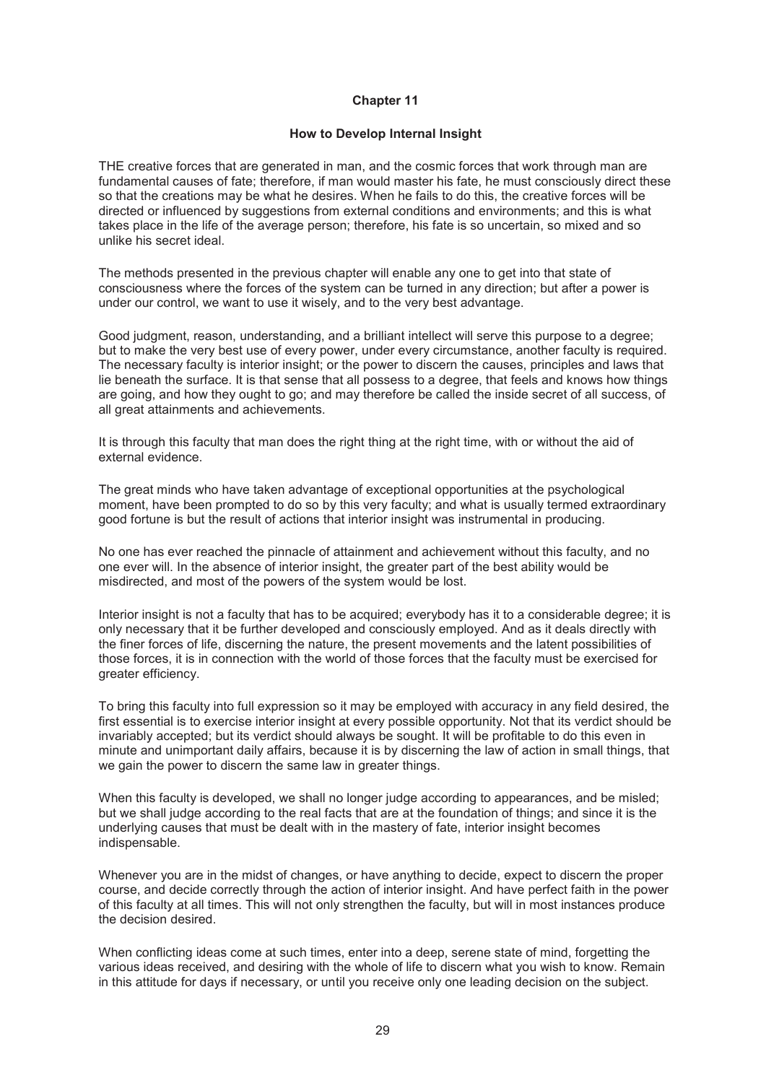#### **How to Develop Internal Insight**

THE creative forces that are generated in man, and the cosmic forces that work through man are fundamental causes of fate; therefore, if man would master his fate, he must consciously direct these so that the creations may be what he desires. When he fails to do this, the creative forces will be directed or influenced by suggestions from external conditions and environments; and this is what takes place in the life of the average person; therefore, his fate is so uncertain, so mixed and so unlike his secret ideal.

The methods presented in the previous chapter will enable any one to get into that state of consciousness where the forces of the system can be turned in any direction; but after a power is under our control, we want to use it wisely, and to the very best advantage.

Good judgment, reason, understanding, and a brilliant intellect will serve this purpose to a degree; but to make the very best use of every power, under every circumstance, another faculty is required. The necessary faculty is interior insight; or the power to discern the causes, principles and laws that lie beneath the surface. It is that sense that all possess to a degree, that feels and knows how things are going, and how they ought to go; and may therefore be called the inside secret of all success, of all great attainments and achievements.

It is through this faculty that man does the right thing at the right time, with or without the aid of external evidence.

The great minds who have taken advantage of exceptional opportunities at the psychological moment, have been prompted to do so by this very faculty; and what is usually termed extraordinary good fortune is but the result of actions that interior insight was instrumental in producing.

No one has ever reached the pinnacle of attainment and achievement without this faculty, and no one ever will. In the absence of interior insight, the greater part of the best ability would be misdirected, and most of the powers of the system would be lost.

Interior insight is not a faculty that has to be acquired; everybody has it to a considerable degree; it is only necessary that it be further developed and consciously employed. And as it deals directly with the finer forces of life, discerning the nature, the present movements and the latent possibilities of those forces, it is in connection with the world of those forces that the faculty must be exercised for greater efficiency.

To bring this faculty into full expression so it may be employed with accuracy in any field desired, the first essential is to exercise interior insight at every possible opportunity. Not that its verdict should be invariably accepted; but its verdict should always be sought. It will be profitable to do this even in minute and unimportant daily affairs, because it is by discerning the law of action in small things, that we gain the power to discern the same law in greater things.

When this faculty is developed, we shall no longer judge according to appearances, and be misled; but we shall judge according to the real facts that are at the foundation of things; and since it is the underlying causes that must be dealt with in the mastery of fate, interior insight becomes indispensable.

Whenever you are in the midst of changes, or have anything to decide, expect to discern the proper course, and decide correctly through the action of interior insight. And have perfect faith in the power of this faculty at all times. This will not only strengthen the faculty, but will in most instances produce the decision desired.

When conflicting ideas come at such times, enter into a deep, serene state of mind, forgetting the various ideas received, and desiring with the whole of life to discern what you wish to know. Remain in this attitude for days if necessary, or until you receive only one leading decision on the subject.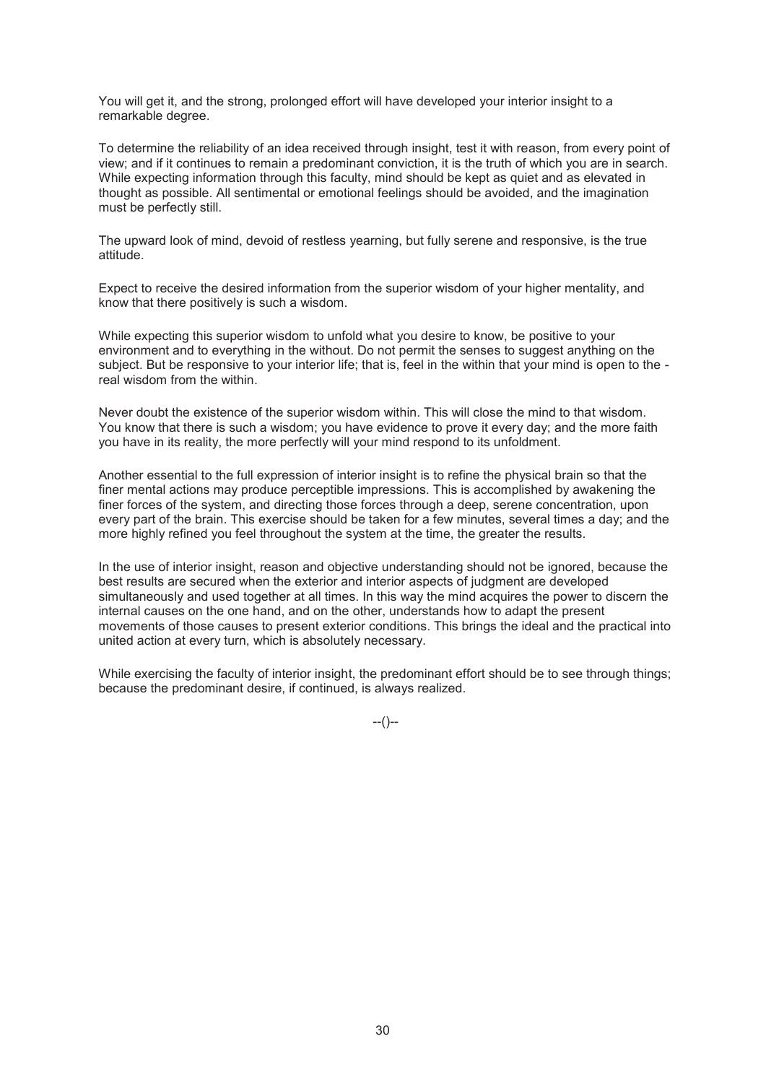You will get it, and the strong, prolonged effort will have developed your interior insight to a remarkable degree.

To determine the reliability of an idea received through insight, test it with reason, from every point of view; and if it continues to remain a predominant conviction, it is the truth of which you are in search. While expecting information through this faculty, mind should be kept as quiet and as elevated in thought as possible. All sentimental or emotional feelings should be avoided, and the imagination must be perfectly still.

The upward look of mind, devoid of restless yearning, but fully serene and responsive, is the true attitude.

Expect to receive the desired information from the superior wisdom of your higher mentality, and know that there positively is such a wisdom.

While expecting this superior wisdom to unfold what you desire to know, be positive to your environment and to everything in the without. Do not permit the senses to suggest anything on the subject. But be responsive to your interior life; that is, feel in the within that your mind is open to the real wisdom from the within.

Never doubt the existence of the superior wisdom within. This will close the mind to that wisdom. You know that there is such a wisdom; you have evidence to prove it every day; and the more faith you have in its reality, the more perfectly will your mind respond to its unfoldment.

Another essential to the full expression of interior insight is to refine the physical brain so that the finer mental actions may produce perceptible impressions. This is accomplished by awakening the finer forces of the system, and directing those forces through a deep, serene concentration, upon every part of the brain. This exercise should be taken for a few minutes, several times a day; and the more highly refined you feel throughout the system at the time, the greater the results.

In the use of interior insight, reason and objective understanding should not be ignored, because the best results are secured when the exterior and interior aspects of judgment are developed simultaneously and used together at all times. In this way the mind acquires the power to discern the internal causes on the one hand, and on the other, understands how to adapt the present movements of those causes to present exterior conditions. This brings the ideal and the practical into united action at every turn, which is absolutely necessary.

While exercising the faculty of interior insight, the predominant effort should be to see through things; because the predominant desire, if continued, is always realized.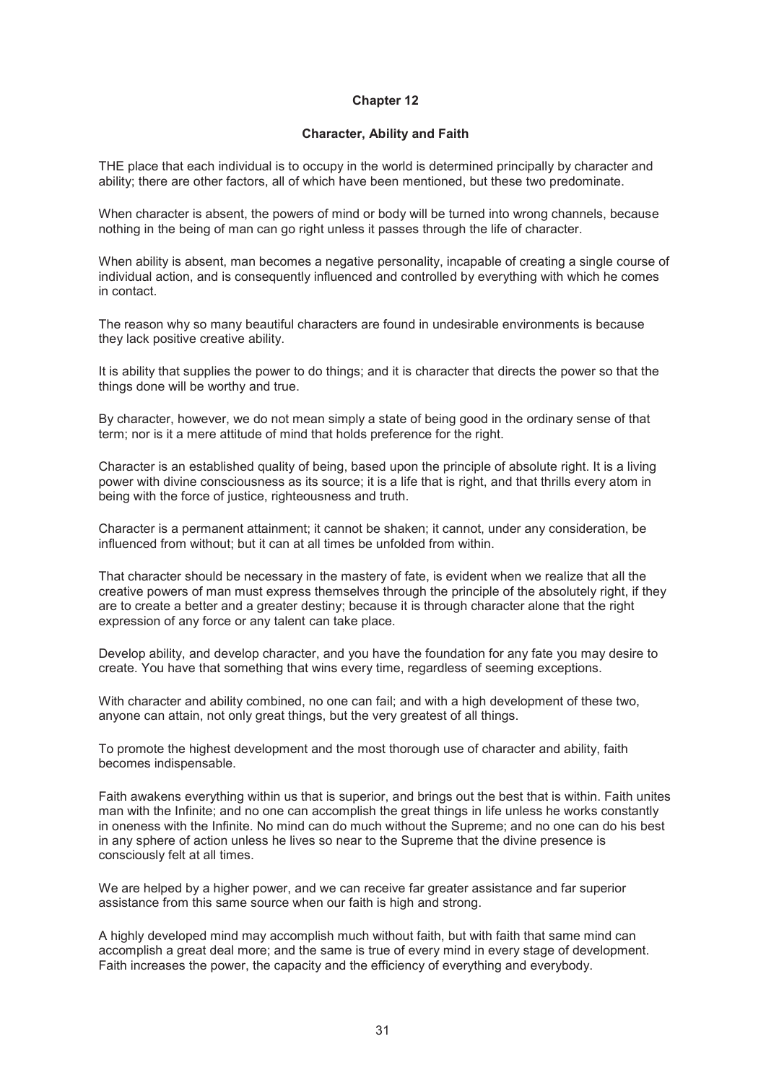#### **Character, Ability and Faith**

THE place that each individual is to occupy in the world is determined principally by character and ability; there are other factors, all of which have been mentioned, but these two predominate.

When character is absent, the powers of mind or body will be turned into wrong channels, because nothing in the being of man can go right unless it passes through the life of character.

When ability is absent, man becomes a negative personality, incapable of creating a single course of individual action, and is consequently influenced and controlled by everything with which he comes in contact.

The reason why so many beautiful characters are found in undesirable environments is because they lack positive creative ability.

It is ability that supplies the power to do things; and it is character that directs the power so that the things done will be worthy and true.

By character, however, we do not mean simply a state of being good in the ordinary sense of that term; nor is it a mere attitude of mind that holds preference for the right.

Character is an established quality of being, based upon the principle of absolute right. It is a living power with divine consciousness as its source; it is a life that is right, and that thrills every atom in being with the force of justice, righteousness and truth.

Character is a permanent attainment; it cannot be shaken; it cannot, under any consideration, be influenced from without; but it can at all times be unfolded from within.

That character should be necessary in the mastery of fate, is evident when we realize that all the creative powers of man must express themselves through the principle of the absolutely right, if they are to create a better and a greater destiny; because it is through character alone that the right expression of any force or any talent can take place.

Develop ability, and develop character, and you have the foundation for any fate you may desire to create. You have that something that wins every time, regardless of seeming exceptions.

With character and ability combined, no one can fail; and with a high development of these two, anyone can attain, not only great things, but the very greatest of all things.

To promote the highest development and the most thorough use of character and ability, faith becomes indispensable.

Faith awakens everything within us that is superior, and brings out the best that is within. Faith unites man with the Infinite; and no one can accomplish the great things in life unless he works constantly in oneness with the Infinite. No mind can do much without the Supreme; and no one can do his best in any sphere of action unless he lives so near to the Supreme that the divine presence is consciously felt at all times.

We are helped by a higher power, and we can receive far greater assistance and far superior assistance from this same source when our faith is high and strong.

A highly developed mind may accomplish much without faith, but with faith that same mind can accomplish a great deal more; and the same is true of every mind in every stage of development. Faith increases the power, the capacity and the efficiency of everything and everybody.